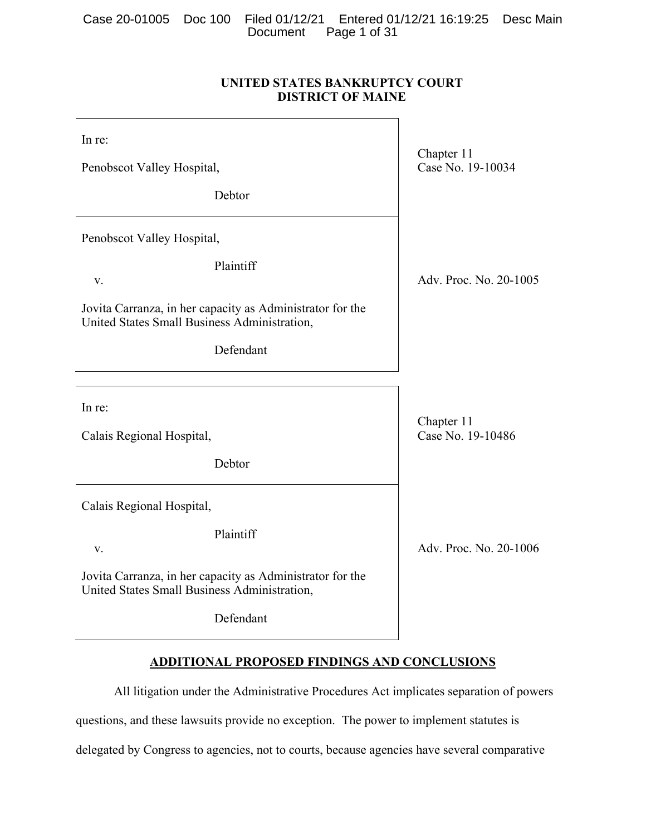Case 20-01005 Doc 100 Filed 01/12/21 Entered 01/12/21 16:19:25 Desc Main Document Page 1 of 31

# **UNITED STATES BANKRUPTCY COURT DISTRICT OF MAINE**

| In re:<br>Penobscot Valley Hospital,<br>Debtor                                                                                                            | Chapter 11<br>Case No. 19-10034 |
|-----------------------------------------------------------------------------------------------------------------------------------------------------------|---------------------------------|
| Penobscot Valley Hospital,<br>Plaintiff<br>V.                                                                                                             | Adv. Proc. No. 20-1005          |
| Jovita Carranza, in her capacity as Administrator for the<br>United States Small Business Administration,<br>Defendant                                    |                                 |
| In re:<br>Calais Regional Hospital,<br>Debtor                                                                                                             | Chapter 11<br>Case No. 19-10486 |
| Calais Regional Hospital,<br>Plaintiff<br>V.<br>Jovita Carranza, in her capacity as Administrator for the<br>United States Small Business Administration, | Adv. Proc. No. 20-1006          |
| Defendant                                                                                                                                                 |                                 |

# **ADDITIONAL PROPOSED FINDINGS AND CONCLUSIONS**

All litigation under the Administrative Procedures Act implicates separation of powers questions, and these lawsuits provide no exception. The power to implement statutes is delegated by Congress to agencies, not to courts, because agencies have several comparative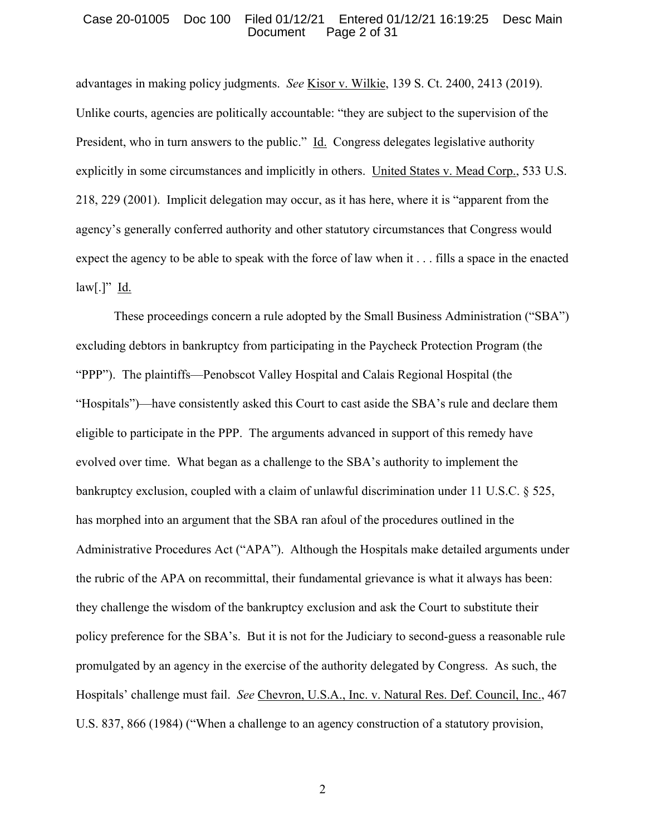#### Case 20-01005 Doc 100 Filed 01/12/21 Entered 01/12/21 16:19:25 Desc Main Document Page 2 of 31

advantages in making policy judgments. *See* Kisor v. Wilkie, 139 S. Ct. 2400, 2413 (2019). Unlike courts, agencies are politically accountable: "they are subject to the supervision of the President, who in turn answers to the public." Id. Congress delegates legislative authority explicitly in some circumstances and implicitly in others. United States v. Mead Corp., 533 U.S. 218, 229 (2001). Implicit delegation may occur, as it has here, where it is "apparent from the agency's generally conferred authority and other statutory circumstances that Congress would expect the agency to be able to speak with the force of law when it . . . fills a space in the enacted  $\text{law}[\cdot]'$  <u>Id.</u>

These proceedings concern a rule adopted by the Small Business Administration ("SBA") excluding debtors in bankruptcy from participating in the Paycheck Protection Program (the "PPP"). The plaintiffs—Penobscot Valley Hospital and Calais Regional Hospital (the "Hospitals")—have consistently asked this Court to cast aside the SBA's rule and declare them eligible to participate in the PPP. The arguments advanced in support of this remedy have evolved over time. What began as a challenge to the SBA's authority to implement the bankruptcy exclusion, coupled with a claim of unlawful discrimination under 11 U.S.C. § 525, has morphed into an argument that the SBA ran afoul of the procedures outlined in the Administrative Procedures Act ("APA"). Although the Hospitals make detailed arguments under the rubric of the APA on recommittal, their fundamental grievance is what it always has been: they challenge the wisdom of the bankruptcy exclusion and ask the Court to substitute their policy preference for the SBA's. But it is not for the Judiciary to second-guess a reasonable rule promulgated by an agency in the exercise of the authority delegated by Congress. As such, the Hospitals' challenge must fail. *See* Chevron, U.S.A., Inc. v. Natural Res. Def. Council, Inc., 467 U.S. 837, 866 (1984) ("When a challenge to an agency construction of a statutory provision,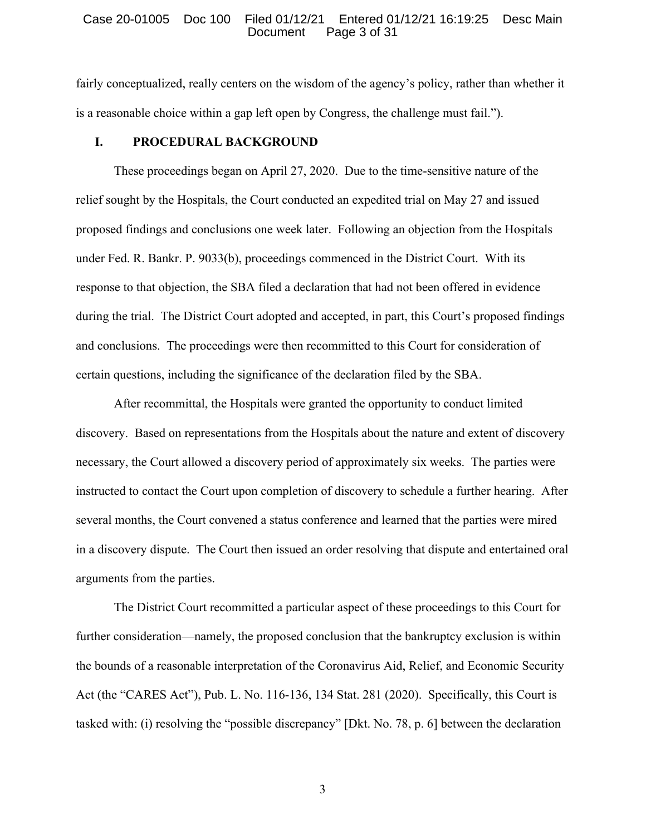#### Case 20-01005 Doc 100 Filed 01/12/21 Entered 01/12/21 16:19:25 Desc Main Document Page 3 of 31

fairly conceptualized, really centers on the wisdom of the agency's policy, rather than whether it is a reasonable choice within a gap left open by Congress, the challenge must fail.").

# **I. PROCEDURAL BACKGROUND**

These proceedings began on April 27, 2020. Due to the time-sensitive nature of the relief sought by the Hospitals, the Court conducted an expedited trial on May 27 and issued proposed findings and conclusions one week later. Following an objection from the Hospitals under Fed. R. Bankr. P. 9033(b), proceedings commenced in the District Court. With its response to that objection, the SBA filed a declaration that had not been offered in evidence during the trial. The District Court adopted and accepted, in part, this Court's proposed findings and conclusions. The proceedings were then recommitted to this Court for consideration of certain questions, including the significance of the declaration filed by the SBA.

After recommittal, the Hospitals were granted the opportunity to conduct limited discovery. Based on representations from the Hospitals about the nature and extent of discovery necessary, the Court allowed a discovery period of approximately six weeks. The parties were instructed to contact the Court upon completion of discovery to schedule a further hearing. After several months, the Court convened a status conference and learned that the parties were mired in a discovery dispute. The Court then issued an order resolving that dispute and entertained oral arguments from the parties.

The District Court recommitted a particular aspect of these proceedings to this Court for further consideration—namely, the proposed conclusion that the bankruptcy exclusion is within the bounds of a reasonable interpretation of the Coronavirus Aid, Relief, and Economic Security Act (the "CARES Act"), Pub. L. No. 116-136, 134 Stat. 281 (2020). Specifically, this Court is tasked with: (i) resolving the "possible discrepancy" [Dkt. No. 78, p. 6] between the declaration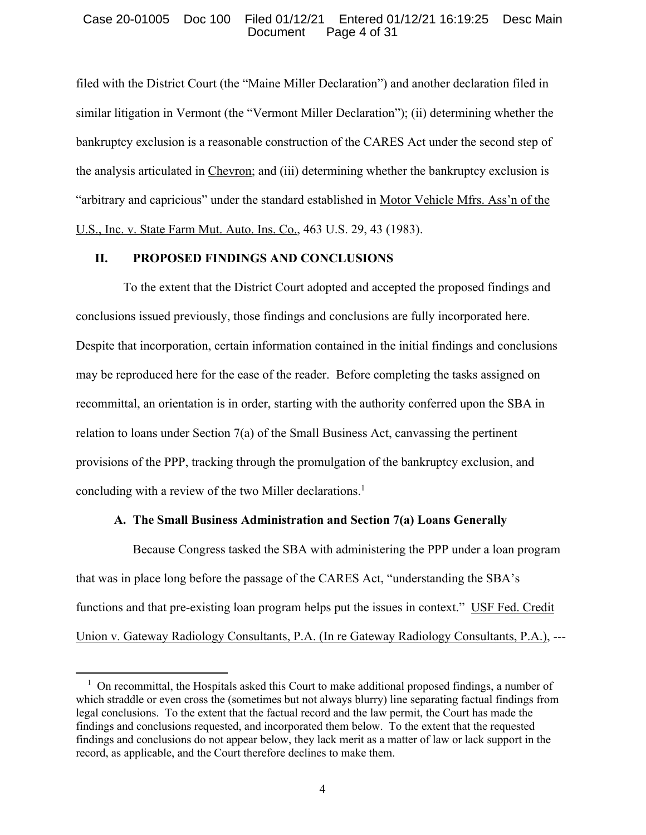## Case 20-01005 Doc 100 Filed 01/12/21 Entered 01/12/21 16:19:25 Desc Main Document Page 4 of 31

filed with the District Court (the "Maine Miller Declaration") and another declaration filed in similar litigation in Vermont (the "Vermont Miller Declaration"); (ii) determining whether the bankruptcy exclusion is a reasonable construction of the CARES Act under the second step of the analysis articulated in Chevron; and (iii) determining whether the bankruptcy exclusion is "arbitrary and capricious" under the standard established in Motor Vehicle Mfrs. Ass'n of the U.S., Inc. v. State Farm Mut. Auto. Ins. Co., 463 U.S. 29, 43 (1983).

# **II. PROPOSED FINDINGS AND CONCLUSIONS**

 To the extent that the District Court adopted and accepted the proposed findings and conclusions issued previously, those findings and conclusions are fully incorporated here. Despite that incorporation, certain information contained in the initial findings and conclusions may be reproduced here for the ease of the reader. Before completing the tasks assigned on recommittal, an orientation is in order, starting with the authority conferred upon the SBA in relation to loans under Section 7(a) of the Small Business Act, canvassing the pertinent provisions of the PPP, tracking through the promulgation of the bankruptcy exclusion, and concluding with a review of the two Miller declarations.<sup>1</sup>

## **A. The Small Business Administration and Section 7(a) Loans Generally**

Because Congress tasked the SBA with administering the PPP under a loan program that was in place long before the passage of the CARES Act, "understanding the SBA's functions and that pre-existing loan program helps put the issues in context." USF Fed. Credit Union v. Gateway Radiology Consultants, P.A. (In re Gateway Radiology Consultants, P.A.), ---

 $1$  On recommittal, the Hospitals asked this Court to make additional proposed findings, a number of which straddle or even cross the (sometimes but not always blurry) line separating factual findings from legal conclusions. To the extent that the factual record and the law permit, the Court has made the findings and conclusions requested, and incorporated them below. To the extent that the requested findings and conclusions do not appear below, they lack merit as a matter of law or lack support in the record, as applicable, and the Court therefore declines to make them.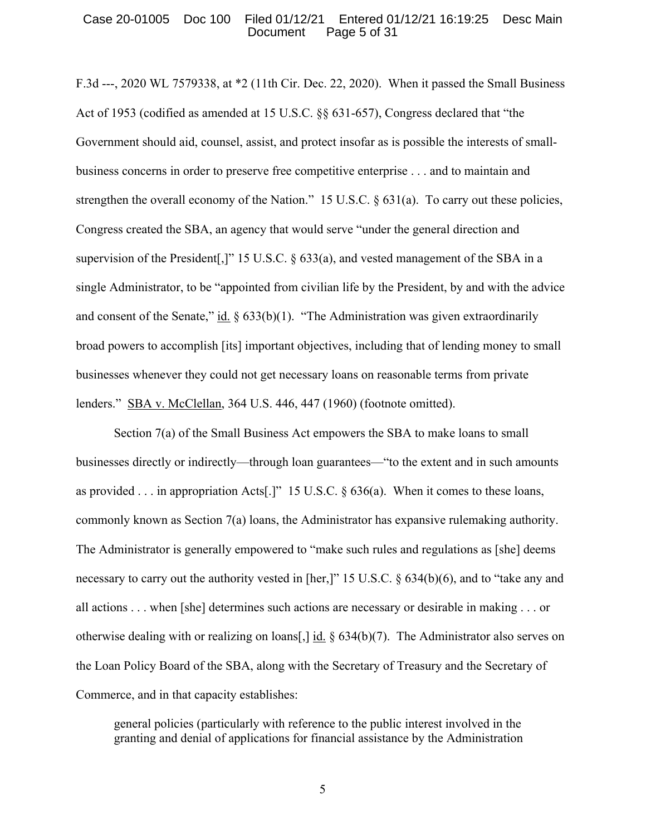# Case 20-01005 Doc 100 Filed 01/12/21 Entered 01/12/21 16:19:25 Desc Main Document Page 5 of 31

F.3d ---, 2020 WL 7579338, at \*2 (11th Cir. Dec. 22, 2020). When it passed the Small Business Act of 1953 (codified as amended at 15 U.S.C. §§ 631-657), Congress declared that "the Government should aid, counsel, assist, and protect insofar as is possible the interests of smallbusiness concerns in order to preserve free competitive enterprise . . . and to maintain and strengthen the overall economy of the Nation." 15 U.S.C. § 631(a). To carry out these policies, Congress created the SBA, an agency that would serve "under the general direction and supervision of the President[,]" 15 U.S.C.  $\&$  633(a), and vested management of the SBA in a single Administrator, to be "appointed from civilian life by the President, by and with the advice and consent of the Senate," id.  $\S$  633(b)(1). "The Administration was given extraordinarily broad powers to accomplish [its] important objectives, including that of lending money to small businesses whenever they could not get necessary loans on reasonable terms from private lenders." SBA v. McClellan, 364 U.S. 446, 447 (1960) (footnote omitted).

Section 7(a) of the Small Business Act empowers the SBA to make loans to small businesses directly or indirectly—through loan guarantees—"to the extent and in such amounts as provided . . . in appropriation Acts[.]" 15 U.S.C. § 636(a). When it comes to these loans, commonly known as Section 7(a) loans, the Administrator has expansive rulemaking authority. The Administrator is generally empowered to "make such rules and regulations as [she] deems necessary to carry out the authority vested in [her,]" 15 U.S.C. § 634(b)(6), and to "take any and all actions . . . when [she] determines such actions are necessary or desirable in making . . . or otherwise dealing with or realizing on loans[,] id.  $\S$  634(b)(7). The Administrator also serves on the Loan Policy Board of the SBA, along with the Secretary of Treasury and the Secretary of Commerce, and in that capacity establishes:

general policies (particularly with reference to the public interest involved in the granting and denial of applications for financial assistance by the Administration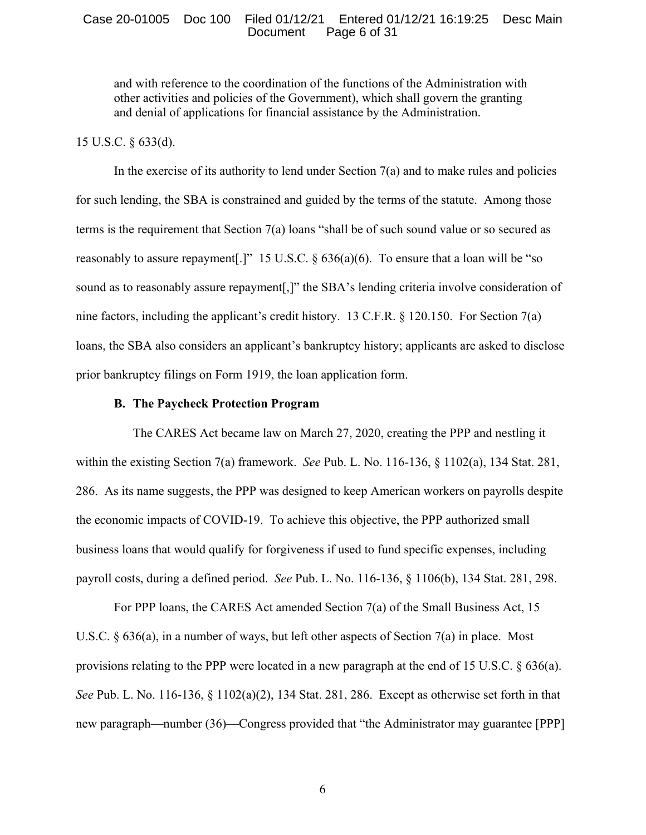#### Case 20-01005 Doc 100 Filed 01/12/21 Entered 01/12/21 16:19:25 Desc Main Document Page 6 of 31

and with reference to the coordination of the functions of the Administration with other activities and policies of the Government), which shall govern the granting and denial of applications for financial assistance by the Administration.

# 15 U.S.C. § 633(d).

In the exercise of its authority to lend under Section 7(a) and to make rules and policies for such lending, the SBA is constrained and guided by the terms of the statute. Among those terms is the requirement that Section 7(a) loans "shall be of such sound value or so secured as reasonably to assure repayment [I]" 15 U.S.C.  $\S$  636(a)(6). To ensure that a loan will be "so sound as to reasonably assure repayment[,]" the SBA's lending criteria involve consideration of nine factors, including the applicant's credit history. 13 C.F.R. § 120.150. For Section 7(a) loans, the SBA also considers an applicant's bankruptcy history; applicants are asked to disclose prior bankruptcy filings on Form 1919, the loan application form.

## **B. The Paycheck Protection Program**

The CARES Act became law on March 27, 2020, creating the PPP and nestling it within the existing Section 7(a) framework. *See* Pub. L. No. 116-136, § 1102(a), 134 Stat. 281, 286. As its name suggests, the PPP was designed to keep American workers on payrolls despite the economic impacts of COVID-19. To achieve this objective, the PPP authorized small business loans that would qualify for forgiveness if used to fund specific expenses, including payroll costs, during a defined period. *See* Pub. L. No. 116-136, § 1106(b), 134 Stat. 281, 298.

For PPP loans, the CARES Act amended Section 7(a) of the Small Business Act, 15 U.S.C. § 636(a), in a number of ways, but left other aspects of Section 7(a) in place. Most provisions relating to the PPP were located in a new paragraph at the end of 15 U.S.C. § 636(a). *See* Pub. L. No. 116-136, § 1102(a)(2), 134 Stat. 281, 286. Except as otherwise set forth in that new paragraph—number (36)—Congress provided that "the Administrator may guarantee [PPP]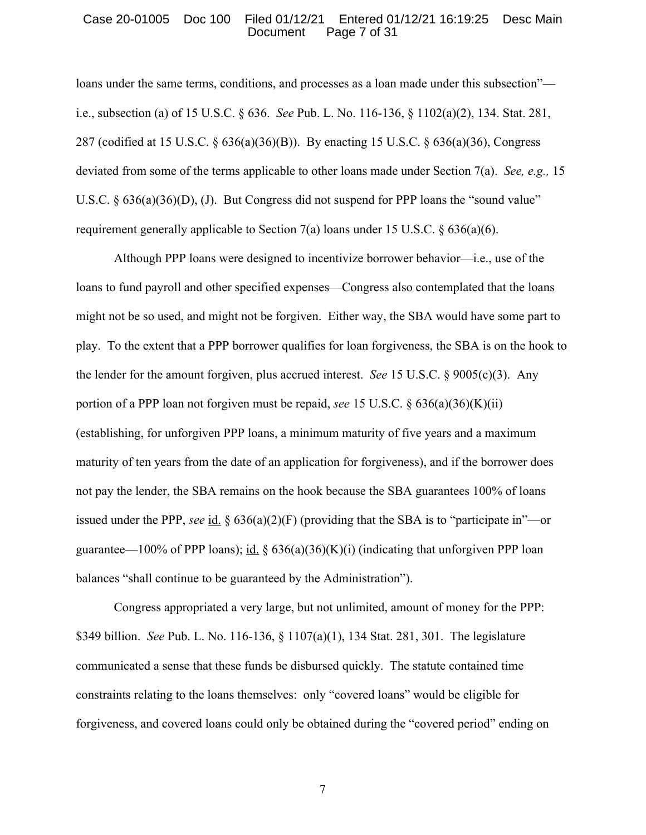#### Case 20-01005 Doc 100 Filed 01/12/21 Entered 01/12/21 16:19:25 Desc Main Document Page 7 of 31

loans under the same terms, conditions, and processes as a loan made under this subsection" i.e., subsection (a) of 15 U.S.C. § 636. *See* Pub. L. No. 116-136, § 1102(a)(2), 134. Stat. 281, 287 (codified at 15 U.S.C. § 636(a)(36)(B)). By enacting 15 U.S.C. § 636(a)(36), Congress deviated from some of the terms applicable to other loans made under Section 7(a). *See, e.g.,* 15 U.S.C. § 636(a)(36)(D), (J). But Congress did not suspend for PPP loans the "sound value" requirement generally applicable to Section 7(a) loans under 15 U.S.C.  $\S 636(a)(6)$ .

Although PPP loans were designed to incentivize borrower behavior—i.e., use of the loans to fund payroll and other specified expenses—Congress also contemplated that the loans might not be so used, and might not be forgiven. Either way, the SBA would have some part to play. To the extent that a PPP borrower qualifies for loan forgiveness, the SBA is on the hook to the lender for the amount forgiven, plus accrued interest. *See* 15 U.S.C. § 9005(c)(3). Any portion of a PPP loan not forgiven must be repaid, *see* 15 U.S.C. § 636(a)(36)(K)(ii) (establishing, for unforgiven PPP loans, a minimum maturity of five years and a maximum maturity of ten years from the date of an application for forgiveness), and if the borrower does not pay the lender, the SBA remains on the hook because the SBA guarantees 100% of loans issued under the PPP, *see* id.  $\S 636(a)(2)(F)$  (providing that the SBA is to "participate in"—or guarantee—100% of PPP loans); id.  $\S$  636(a)(36)(K)(i) (indicating that unforgiven PPP loan balances "shall continue to be guaranteed by the Administration").

Congress appropriated a very large, but not unlimited, amount of money for the PPP: \$349 billion. *See* Pub. L. No. 116-136, § 1107(a)(1), 134 Stat. 281, 301. The legislature communicated a sense that these funds be disbursed quickly. The statute contained time constraints relating to the loans themselves: only "covered loans" would be eligible for forgiveness, and covered loans could only be obtained during the "covered period" ending on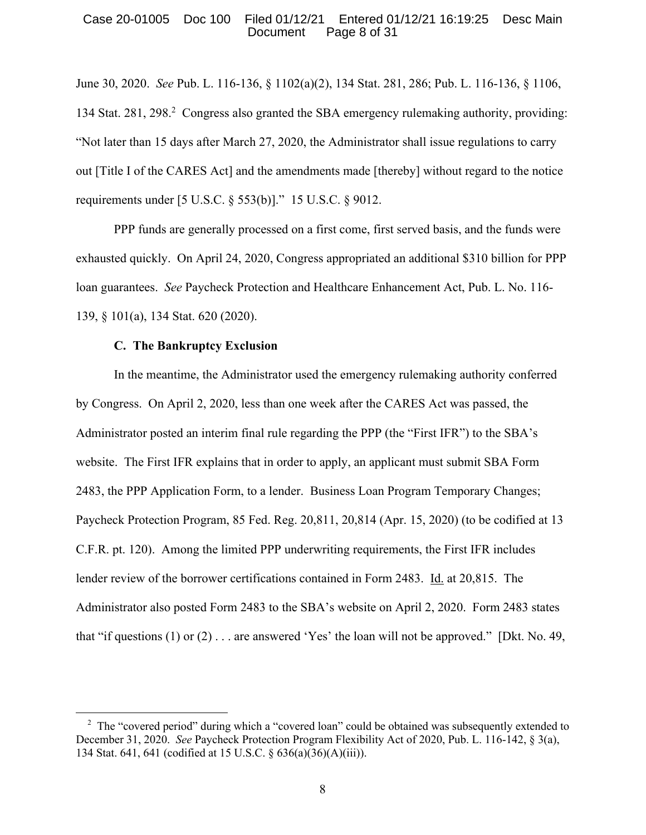#### Case 20-01005 Doc 100 Filed 01/12/21 Entered 01/12/21 16:19:25 Desc Main Document Page 8 of 31

June 30, 2020. *See* Pub. L. 116-136, § 1102(a)(2), 134 Stat. 281, 286; Pub. L. 116-136, § 1106, 134 Stat. 281, 298. 2 Congress also granted the SBA emergency rulemaking authority, providing: "Not later than 15 days after March 27, 2020, the Administrator shall issue regulations to carry out [Title I of the CARES Act] and the amendments made [thereby] without regard to the notice requirements under [5 U.S.C. § 553(b)]." 15 U.S.C. § 9012.

PPP funds are generally processed on a first come, first served basis, and the funds were exhausted quickly. On April 24, 2020, Congress appropriated an additional \$310 billion for PPP loan guarantees. *See* Paycheck Protection and Healthcare Enhancement Act, Pub. L. No. 116- 139, § 101(a), 134 Stat. 620 (2020).

## **C. The Bankruptcy Exclusion**

In the meantime, the Administrator used the emergency rulemaking authority conferred by Congress. On April 2, 2020, less than one week after the CARES Act was passed, the Administrator posted an interim final rule regarding the PPP (the "First IFR") to the SBA's website. The First IFR explains that in order to apply, an applicant must submit SBA Form 2483, the PPP Application Form, to a lender. Business Loan Program Temporary Changes; Paycheck Protection Program, 85 Fed. Reg. 20,811, 20,814 (Apr. 15, 2020) (to be codified at 13 C.F.R. pt. 120). Among the limited PPP underwriting requirements, the First IFR includes lender review of the borrower certifications contained in Form 2483. Id. at 20,815. The Administrator also posted Form 2483 to the SBA's website on April 2, 2020. Form 2483 states that "if questions  $(1)$  or  $(2)$ ... are answered 'Yes' the loan will not be approved." [Dkt. No. 49,

<sup>&</sup>lt;sup>2</sup> The "covered period" during which a "covered loan" could be obtained was subsequently extended to December 31, 2020. *See* Paycheck Protection Program Flexibility Act of 2020, Pub. L. 116-142, § 3(a), 134 Stat. 641, 641 (codified at 15 U.S.C. § 636(a)(36)(A)(iii)).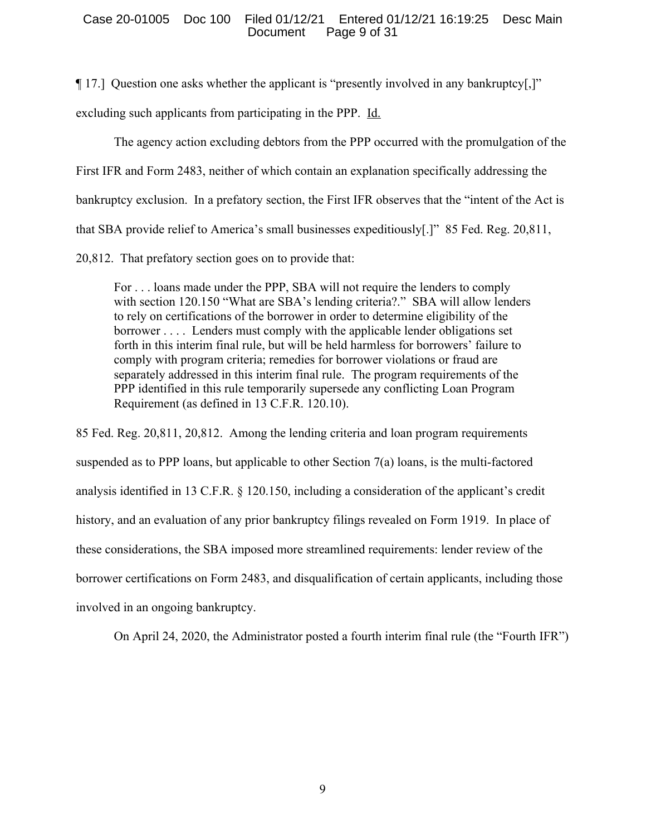## Case 20-01005 Doc 100 Filed 01/12/21 Entered 01/12/21 16:19:25 Desc Main Document Page 9 of 31

¶ 17.] Question one asks whether the applicant is "presently involved in any bankruptcy[,]"

excluding such applicants from participating in the PPP. Id.

The agency action excluding debtors from the PPP occurred with the promulgation of the First IFR and Form 2483, neither of which contain an explanation specifically addressing the bankruptcy exclusion. In a prefatory section, the First IFR observes that the "intent of the Act is that SBA provide relief to America's small businesses expeditiously[.]" 85 Fed. Reg. 20,811,

20,812. That prefatory section goes on to provide that:

For . . . loans made under the PPP, SBA will not require the lenders to comply with section 120.150 "What are SBA's lending criteria?." SBA will allow lenders to rely on certifications of the borrower in order to determine eligibility of the borrower . . . . Lenders must comply with the applicable lender obligations set forth in this interim final rule, but will be held harmless for borrowers' failure to comply with program criteria; remedies for borrower violations or fraud are separately addressed in this interim final rule. The program requirements of the PPP identified in this rule temporarily supersede any conflicting Loan Program Requirement (as defined in 13 C.F.R. 120.10).

85 Fed. Reg. 20,811, 20,812. Among the lending criteria and loan program requirements suspended as to PPP loans, but applicable to other Section 7(a) loans, is the multi-factored analysis identified in 13 C.F.R. § 120.150, including a consideration of the applicant's credit history, and an evaluation of any prior bankruptcy filings revealed on Form 1919. In place of these considerations, the SBA imposed more streamlined requirements: lender review of the borrower certifications on Form 2483, and disqualification of certain applicants, including those involved in an ongoing bankruptcy.

On April 24, 2020, the Administrator posted a fourth interim final rule (the "Fourth IFR")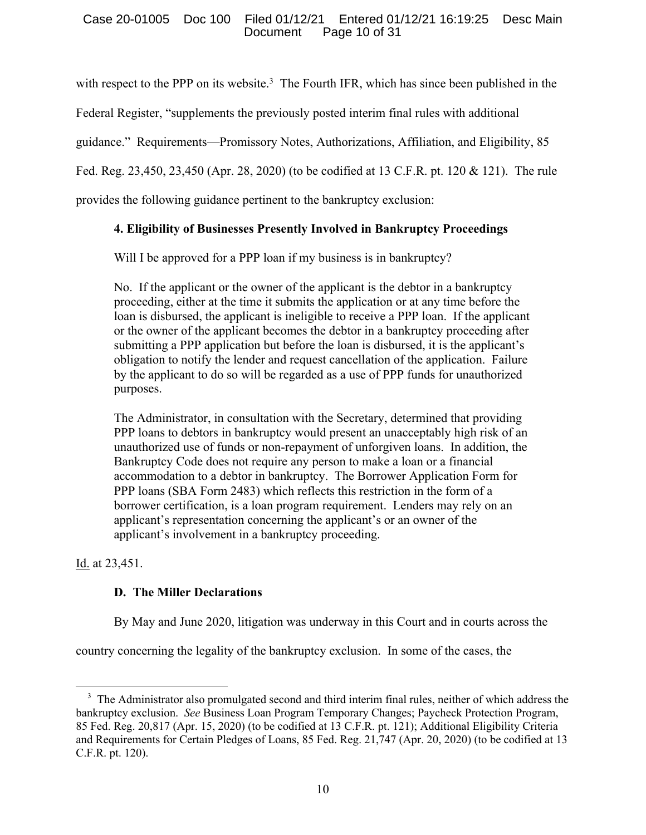# Case 20-01005 Doc 100 Filed 01/12/21 Entered 01/12/21 16:19:25 Desc Main Page 10 of 31

with respect to the PPP on its website.<sup>3</sup> The Fourth IFR, which has since been published in the

Federal Register, "supplements the previously posted interim final rules with additional

guidance." Requirements—Promissory Notes, Authorizations, Affiliation, and Eligibility, 85

Fed. Reg. 23,450, 23,450 (Apr. 28, 2020) (to be codified at 13 C.F.R. pt. 120 & 121). The rule

provides the following guidance pertinent to the bankruptcy exclusion:

# **4. Eligibility of Businesses Presently Involved in Bankruptcy Proceedings**

Will I be approved for a PPP loan if my business is in bankruptcy?

No. If the applicant or the owner of the applicant is the debtor in a bankruptcy proceeding, either at the time it submits the application or at any time before the loan is disbursed, the applicant is ineligible to receive a PPP loan. If the applicant or the owner of the applicant becomes the debtor in a bankruptcy proceeding after submitting a PPP application but before the loan is disbursed, it is the applicant's obligation to notify the lender and request cancellation of the application. Failure by the applicant to do so will be regarded as a use of PPP funds for unauthorized purposes.

The Administrator, in consultation with the Secretary, determined that providing PPP loans to debtors in bankruptcy would present an unacceptably high risk of an unauthorized use of funds or non-repayment of unforgiven loans. In addition, the Bankruptcy Code does not require any person to make a loan or a financial accommodation to a debtor in bankruptcy. The Borrower Application Form for PPP loans (SBA Form 2483) which reflects this restriction in the form of a borrower certification, is a loan program requirement. Lenders may rely on an applicant's representation concerning the applicant's or an owner of the applicant's involvement in a bankruptcy proceeding.

Id. at 23,451.

# **D. The Miller Declarations**

By May and June 2020, litigation was underway in this Court and in courts across the

country concerning the legality of the bankruptcy exclusion. In some of the cases, the

<sup>&</sup>lt;sup>3</sup> The Administrator also promulgated second and third interim final rules, neither of which address the bankruptcy exclusion. *See* Business Loan Program Temporary Changes; Paycheck Protection Program, 85 Fed. Reg. 20,817 (Apr. 15, 2020) (to be codified at 13 C.F.R. pt. 121); Additional Eligibility Criteria and Requirements for Certain Pledges of Loans, 85 Fed. Reg. 21,747 (Apr. 20, 2020) (to be codified at 13 C.F.R. pt. 120).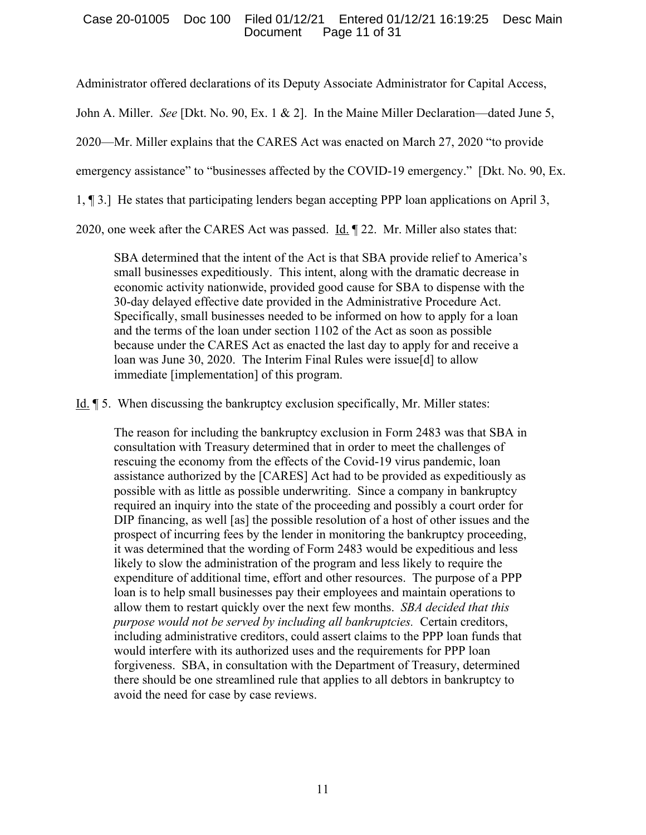# Case 20-01005 Doc 100 Filed 01/12/21 Entered 01/12/21 16:19:25 Desc Main Page 11 of 31

Administrator offered declarations of its Deputy Associate Administrator for Capital Access,

John A. Miller. *See* [Dkt. No. 90, Ex. 1 & 2]. In the Maine Miller Declaration—dated June 5,

2020—Mr. Miller explains that the CARES Act was enacted on March 27, 2020 "to provide

emergency assistance" to "businesses affected by the COVID-19 emergency." [Dkt. No. 90, Ex.

1, ¶ 3.] He states that participating lenders began accepting PPP loan applications on April 3,

2020, one week after the CARES Act was passed.  $\underline{Id}$ .  $\P$  22. Mr. Miller also states that:

SBA determined that the intent of the Act is that SBA provide relief to America's small businesses expeditiously. This intent, along with the dramatic decrease in economic activity nationwide, provided good cause for SBA to dispense with the 30-day delayed effective date provided in the Administrative Procedure Act. Specifically, small businesses needed to be informed on how to apply for a loan and the terms of the loan under section 1102 of the Act as soon as possible because under the CARES Act as enacted the last day to apply for and receive a loan was June 30, 2020. The Interim Final Rules were issue[d] to allow immediate [implementation] of this program.

Id. ¶ 5. When discussing the bankruptcy exclusion specifically, Mr. Miller states:

The reason for including the bankruptcy exclusion in Form 2483 was that SBA in consultation with Treasury determined that in order to meet the challenges of rescuing the economy from the effects of the Covid-19 virus pandemic, loan assistance authorized by the [CARES] Act had to be provided as expeditiously as possible with as little as possible underwriting. Since a company in bankruptcy required an inquiry into the state of the proceeding and possibly a court order for DIP financing, as well [as] the possible resolution of a host of other issues and the prospect of incurring fees by the lender in monitoring the bankruptcy proceeding, it was determined that the wording of Form 2483 would be expeditious and less likely to slow the administration of the program and less likely to require the expenditure of additional time, effort and other resources. The purpose of a PPP loan is to help small businesses pay their employees and maintain operations to allow them to restart quickly over the next few months. *SBA decided that this purpose would not be served by including all bankruptcies.* Certain creditors, including administrative creditors, could assert claims to the PPP loan funds that would interfere with its authorized uses and the requirements for PPP loan forgiveness. SBA, in consultation with the Department of Treasury, determined there should be one streamlined rule that applies to all debtors in bankruptcy to avoid the need for case by case reviews.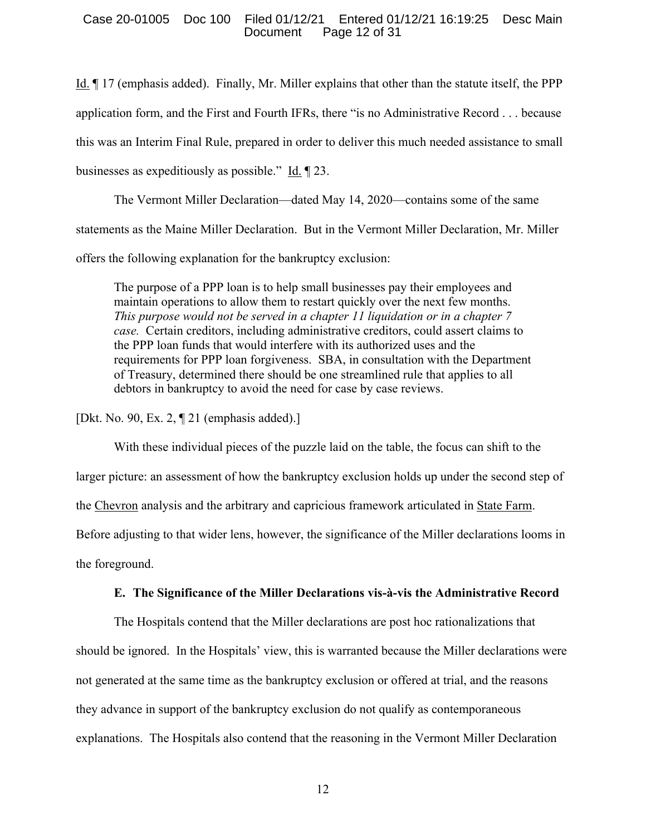## Case 20-01005 Doc 100 Filed 01/12/21 Entered 01/12/21 16:19:25 Desc Main Document Page 12 of 31

Id. ¶ 17 (emphasis added). Finally, Mr. Miller explains that other than the statute itself, the PPP application form, and the First and Fourth IFRs, there "is no Administrative Record . . . because this was an Interim Final Rule, prepared in order to deliver this much needed assistance to small businesses as expeditiously as possible." Id. ¶ 23.

The Vermont Miller Declaration—dated May 14, 2020—contains some of the same statements as the Maine Miller Declaration. But in the Vermont Miller Declaration, Mr. Miller offers the following explanation for the bankruptcy exclusion:

The purpose of a PPP loan is to help small businesses pay their employees and maintain operations to allow them to restart quickly over the next few months. *This purpose would not be served in a chapter 11 liquidation or in a chapter 7 case.* Certain creditors, including administrative creditors, could assert claims to the PPP loan funds that would interfere with its authorized uses and the requirements for PPP loan forgiveness. SBA, in consultation with the Department of Treasury, determined there should be one streamlined rule that applies to all debtors in bankruptcy to avoid the need for case by case reviews.

[Dkt. No. 90, Ex. 2, ¶ 21 (emphasis added).]

With these individual pieces of the puzzle laid on the table, the focus can shift to the larger picture: an assessment of how the bankruptcy exclusion holds up under the second step of the Chevron analysis and the arbitrary and capricious framework articulated in State Farm. Before adjusting to that wider lens, however, the significance of the Miller declarations looms in the foreground.

# **E. The Significance of the Miller Declarations vis-à-vis the Administrative Record**

The Hospitals contend that the Miller declarations are post hoc rationalizations that should be ignored. In the Hospitals' view, this is warranted because the Miller declarations were not generated at the same time as the bankruptcy exclusion or offered at trial, and the reasons they advance in support of the bankruptcy exclusion do not qualify as contemporaneous explanations. The Hospitals also contend that the reasoning in the Vermont Miller Declaration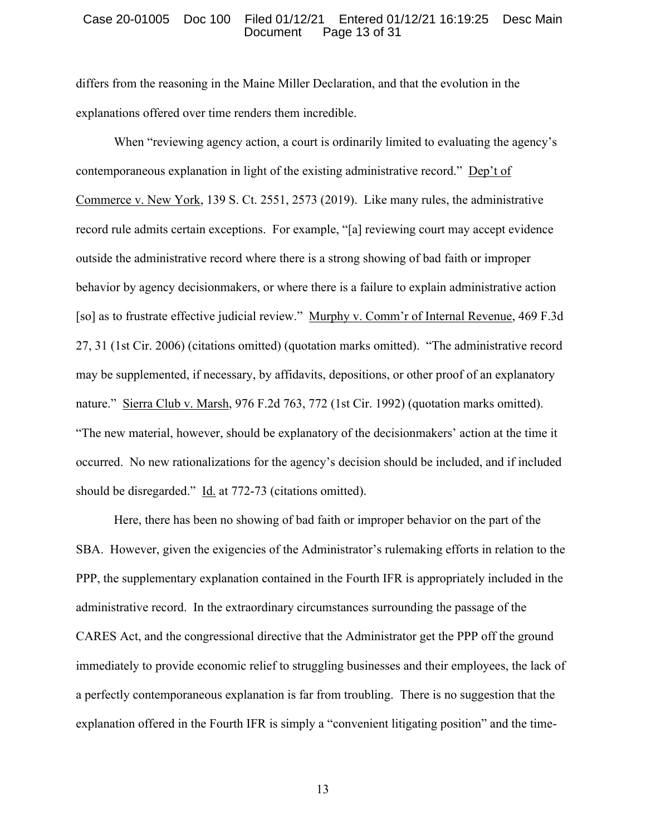#### Case 20-01005 Doc 100 Filed 01/12/21 Entered 01/12/21 16:19:25 Desc Main Document Page 13 of 31

differs from the reasoning in the Maine Miller Declaration, and that the evolution in the explanations offered over time renders them incredible.

When "reviewing agency action, a court is ordinarily limited to evaluating the agency's contemporaneous explanation in light of the existing administrative record." Dep't of Commerce v. New York, 139 S. Ct. 2551, 2573 (2019). Like many rules, the administrative record rule admits certain exceptions. For example, "[a] reviewing court may accept evidence outside the administrative record where there is a strong showing of bad faith or improper behavior by agency decisionmakers, or where there is a failure to explain administrative action [so] as to frustrate effective judicial review." Murphy v. Comm'r of Internal Revenue, 469 F.3d 27, 31 (1st Cir. 2006) (citations omitted) (quotation marks omitted). "The administrative record may be supplemented, if necessary, by affidavits, depositions, or other proof of an explanatory nature." Sierra Club v. Marsh, 976 F.2d 763, 772 (1st Cir. 1992) (quotation marks omitted). "The new material, however, should be explanatory of the decisionmakers' action at the time it occurred. No new rationalizations for the agency's decision should be included, and if included should be disregarded." Id. at 772-73 (citations omitted).

Here, there has been no showing of bad faith or improper behavior on the part of the SBA. However, given the exigencies of the Administrator's rulemaking efforts in relation to the PPP, the supplementary explanation contained in the Fourth IFR is appropriately included in the administrative record. In the extraordinary circumstances surrounding the passage of the CARES Act, and the congressional directive that the Administrator get the PPP off the ground immediately to provide economic relief to struggling businesses and their employees, the lack of a perfectly contemporaneous explanation is far from troubling. There is no suggestion that the explanation offered in the Fourth IFR is simply a "convenient litigating position" and the time-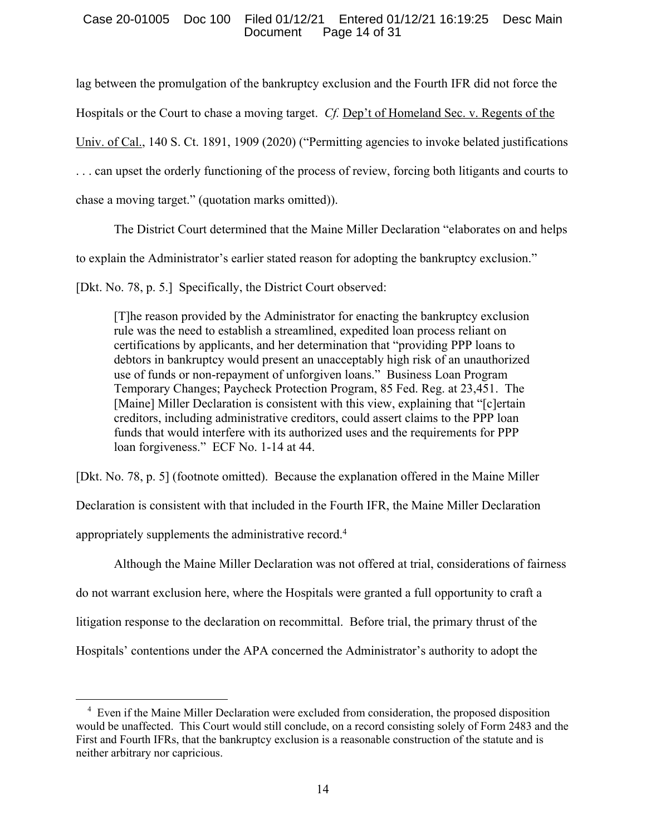## Case 20-01005 Doc 100 Filed 01/12/21 Entered 01/12/21 16:19:25 Desc Main Document Page 14 of 31

lag between the promulgation of the bankruptcy exclusion and the Fourth IFR did not force the Hospitals or the Court to chase a moving target. *Cf.* Dep't of Homeland Sec. v. Regents of the Univ. of Cal., 140 S. Ct. 1891, 1909 (2020) ("Permitting agencies to invoke belated justifications . . . can upset the orderly functioning of the process of review, forcing both litigants and courts to chase a moving target." (quotation marks omitted)).

The District Court determined that the Maine Miller Declaration "elaborates on and helps

to explain the Administrator's earlier stated reason for adopting the bankruptcy exclusion."

[Dkt. No. 78, p. 5.] Specifically, the District Court observed:

[T]he reason provided by the Administrator for enacting the bankruptcy exclusion rule was the need to establish a streamlined, expedited loan process reliant on certifications by applicants, and her determination that "providing PPP loans to debtors in bankruptcy would present an unacceptably high risk of an unauthorized use of funds or non-repayment of unforgiven loans." Business Loan Program Temporary Changes; Paycheck Protection Program, 85 Fed. Reg. at 23,451. The [Maine] Miller Declaration is consistent with this view, explaining that "[c]ertain creditors, including administrative creditors, could assert claims to the PPP loan funds that would interfere with its authorized uses and the requirements for PPP loan forgiveness." ECF No. 1-14 at 44.

[Dkt. No. 78, p. 5] (footnote omitted). Because the explanation offered in the Maine Miller

Declaration is consistent with that included in the Fourth IFR, the Maine Miller Declaration

appropriately supplements the administrative record.<sup>4</sup>

Although the Maine Miller Declaration was not offered at trial, considerations of fairness

do not warrant exclusion here, where the Hospitals were granted a full opportunity to craft a

litigation response to the declaration on recommittal. Before trial, the primary thrust of the

Hospitals' contentions under the APA concerned the Administrator's authority to adopt the

<sup>&</sup>lt;sup>4</sup> Even if the Maine Miller Declaration were excluded from consideration, the proposed disposition would be unaffected. This Court would still conclude, on a record consisting solely of Form 2483 and the First and Fourth IFRs, that the bankruptcy exclusion is a reasonable construction of the statute and is neither arbitrary nor capricious.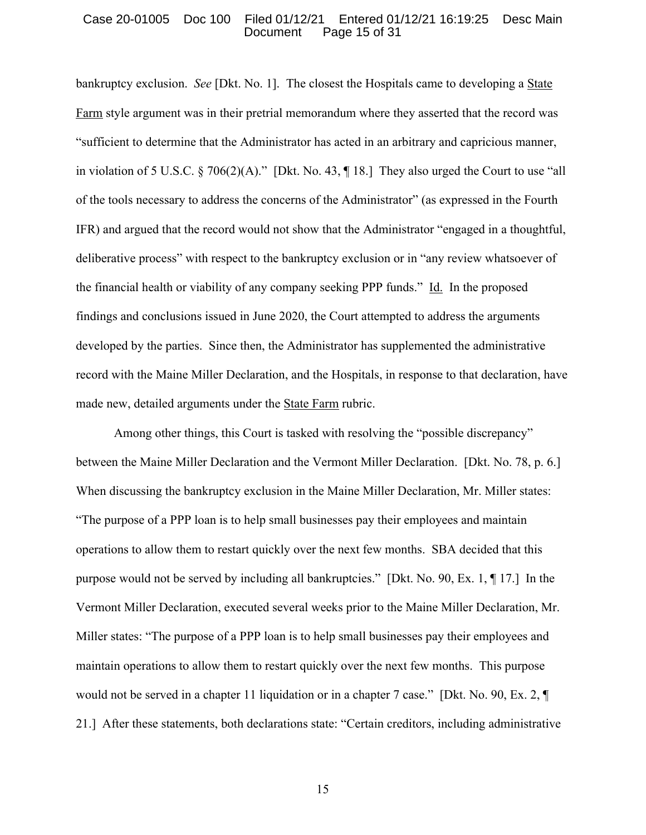## Case 20-01005 Doc 100 Filed 01/12/21 Entered 01/12/21 16:19:25 Desc Main Document Page 15 of 31

bankruptcy exclusion. *See* [Dkt. No. 1]. The closest the Hospitals came to developing a State Farm style argument was in their pretrial memorandum where they asserted that the record was "sufficient to determine that the Administrator has acted in an arbitrary and capricious manner, in violation of 5 U.S.C. § 706(2)(A)." [Dkt. No. 43, ¶ 18.] They also urged the Court to use "all of the tools necessary to address the concerns of the Administrator" (as expressed in the Fourth IFR) and argued that the record would not show that the Administrator "engaged in a thoughtful, deliberative process" with respect to the bankruptcy exclusion or in "any review whatsoever of the financial health or viability of any company seeking PPP funds." Id. In the proposed findings and conclusions issued in June 2020, the Court attempted to address the arguments developed by the parties. Since then, the Administrator has supplemented the administrative record with the Maine Miller Declaration, and the Hospitals, in response to that declaration, have made new, detailed arguments under the State Farm rubric.

Among other things, this Court is tasked with resolving the "possible discrepancy" between the Maine Miller Declaration and the Vermont Miller Declaration. [Dkt. No. 78, p. 6.] When discussing the bankruptcy exclusion in the Maine Miller Declaration, Mr. Miller states: "The purpose of a PPP loan is to help small businesses pay their employees and maintain operations to allow them to restart quickly over the next few months. SBA decided that this purpose would not be served by including all bankruptcies." [Dkt. No. 90, Ex. 1, ¶ 17.] In the Vermont Miller Declaration, executed several weeks prior to the Maine Miller Declaration, Mr. Miller states: "The purpose of a PPP loan is to help small businesses pay their employees and maintain operations to allow them to restart quickly over the next few months. This purpose would not be served in a chapter 11 liquidation or in a chapter 7 case." [Dkt. No. 90, Ex. 2, ¶ 21.] After these statements, both declarations state: "Certain creditors, including administrative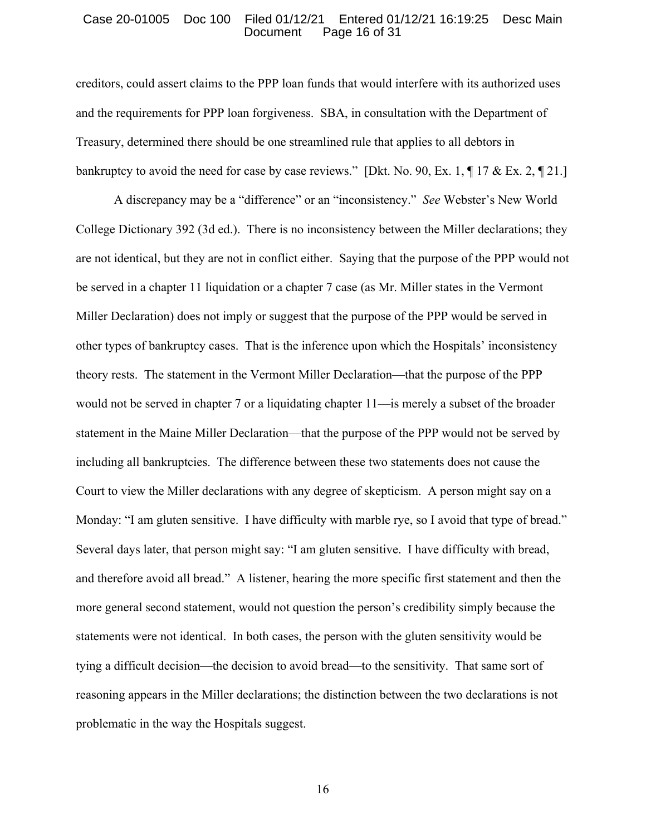#### Case 20-01005 Doc 100 Filed 01/12/21 Entered 01/12/21 16:19:25 Desc Main Document Page 16 of 31

creditors, could assert claims to the PPP loan funds that would interfere with its authorized uses and the requirements for PPP loan forgiveness. SBA, in consultation with the Department of Treasury, determined there should be one streamlined rule that applies to all debtors in bankruptcy to avoid the need for case by case reviews." [Dkt. No. 90, Ex. 1, ¶ 17 & Ex. 2, ¶ 21.]

A discrepancy may be a "difference" or an "inconsistency." *See* Webster's New World College Dictionary 392 (3d ed.). There is no inconsistency between the Miller declarations; they are not identical, but they are not in conflict either. Saying that the purpose of the PPP would not be served in a chapter 11 liquidation or a chapter 7 case (as Mr. Miller states in the Vermont Miller Declaration) does not imply or suggest that the purpose of the PPP would be served in other types of bankruptcy cases. That is the inference upon which the Hospitals' inconsistency theory rests. The statement in the Vermont Miller Declaration—that the purpose of the PPP would not be served in chapter 7 or a liquidating chapter 11—is merely a subset of the broader statement in the Maine Miller Declaration—that the purpose of the PPP would not be served by including all bankruptcies. The difference between these two statements does not cause the Court to view the Miller declarations with any degree of skepticism. A person might say on a Monday: "I am gluten sensitive. I have difficulty with marble rye, so I avoid that type of bread." Several days later, that person might say: "I am gluten sensitive. I have difficulty with bread, and therefore avoid all bread." A listener, hearing the more specific first statement and then the more general second statement, would not question the person's credibility simply because the statements were not identical. In both cases, the person with the gluten sensitivity would be tying a difficult decision—the decision to avoid bread—to the sensitivity. That same sort of reasoning appears in the Miller declarations; the distinction between the two declarations is not problematic in the way the Hospitals suggest.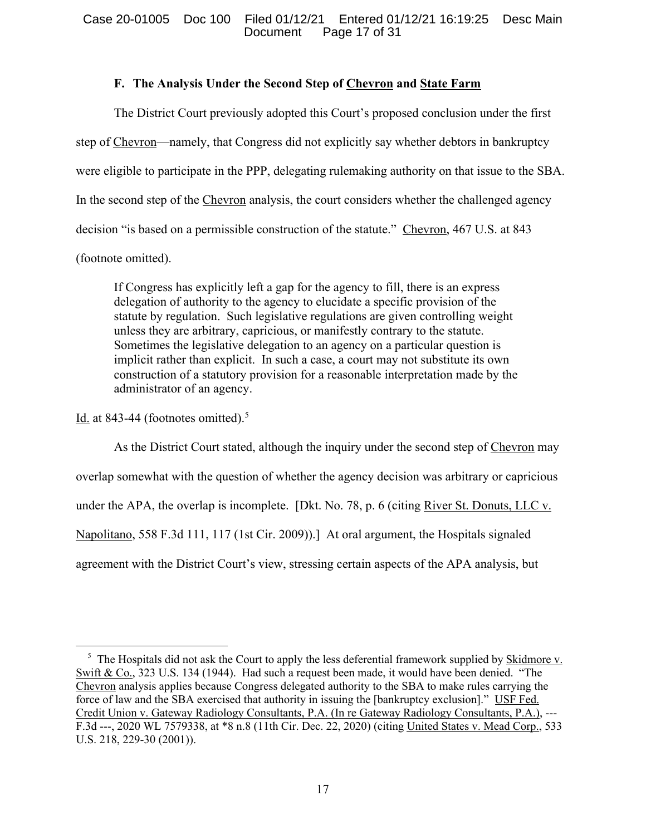# **F. The Analysis Under the Second Step of Chevron and State Farm**

The District Court previously adopted this Court's proposed conclusion under the first step of Chevron—namely, that Congress did not explicitly say whether debtors in bankruptcy were eligible to participate in the PPP, delegating rulemaking authority on that issue to the SBA. In the second step of the Chevron analysis, the court considers whether the challenged agency decision "is based on a permissible construction of the statute." Chevron, 467 U.S. at 843 (footnote omitted).

If Congress has explicitly left a gap for the agency to fill, there is an express delegation of authority to the agency to elucidate a specific provision of the statute by regulation. Such legislative regulations are given controlling weight unless they are arbitrary, capricious, or manifestly contrary to the statute. Sometimes the legislative delegation to an agency on a particular question is implicit rather than explicit. In such a case, a court may not substitute its own construction of a statutory provision for a reasonable interpretation made by the administrator of an agency.

Id. at 843-44 (footnotes omitted).<sup>5</sup>

As the District Court stated, although the inquiry under the second step of Chevron may overlap somewhat with the question of whether the agency decision was arbitrary or capricious under the APA, the overlap is incomplete. [Dkt. No. 78, p. 6 (citing River St. Donuts, LLC v. Napolitano, 558 F.3d 111, 117 (1st Cir. 2009)).] At oral argument, the Hospitals signaled agreement with the District Court's view, stressing certain aspects of the APA analysis, but

<sup>&</sup>lt;sup>5</sup> The Hospitals did not ask the Court to apply the less deferential framework supplied by **Skidmore v.** Swift & Co., 323 U.S. 134 (1944). Had such a request been made, it would have been denied. "The Chevron analysis applies because Congress delegated authority to the SBA to make rules carrying the force of law and the SBA exercised that authority in issuing the [bankruptcy exclusion]." USF Fed. Credit Union v. Gateway Radiology Consultants, P.A. (In re Gateway Radiology Consultants, P.A.), --F.3d ---, 2020 WL 7579338, at \*8 n.8 (11th Cir. Dec. 22, 2020) (citing United States v. Mead Corp., 533 U.S. 218, 229-30 (2001)).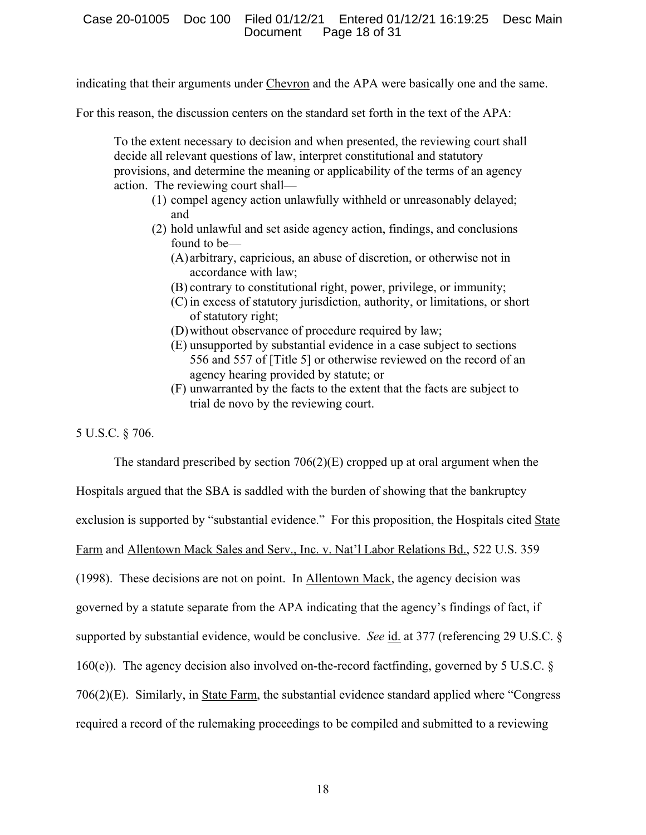indicating that their arguments under Chevron and the APA were basically one and the same.

For this reason, the discussion centers on the standard set forth in the text of the APA:

To the extent necessary to decision and when presented, the reviewing court shall decide all relevant questions of law, interpret constitutional and statutory provisions, and determine the meaning or applicability of the terms of an agency action. The reviewing court shall—

- (1) compel agency action unlawfully withheld or unreasonably delayed; and
- (2) hold unlawful and set aside agency action, findings, and conclusions found to be—
	- (A) arbitrary, capricious, an abuse of discretion, or otherwise not in accordance with law;
	- (B) contrary to constitutional right, power, privilege, or immunity;
	- (C) in excess of statutory jurisdiction, authority, or limitations, or short of statutory right;
	- (D)without observance of procedure required by law;
	- (E) unsupported by substantial evidence in a case subject to sections 556 and 557 of [Title 5] or otherwise reviewed on the record of an agency hearing provided by statute; or
	- (F) unwarranted by the facts to the extent that the facts are subject to trial de novo by the reviewing court.

5 U.S.C. § 706.

The standard prescribed by section  $706(2)$ (E) cropped up at oral argument when the Hospitals argued that the SBA is saddled with the burden of showing that the bankruptcy exclusion is supported by "substantial evidence." For this proposition, the Hospitals cited State Farm and Allentown Mack Sales and Serv., Inc. v. Nat'l Labor Relations Bd., 522 U.S. 359 (1998). These decisions are not on point. In Allentown Mack, the agency decision was governed by a statute separate from the APA indicating that the agency's findings of fact, if supported by substantial evidence, would be conclusive. *See* id. at 377 (referencing 29 U.S.C. § 160(e)). The agency decision also involved on-the-record factfinding, governed by 5 U.S.C.  $\S$ 706(2)(E). Similarly, in State Farm, the substantial evidence standard applied where "Congress required a record of the rulemaking proceedings to be compiled and submitted to a reviewing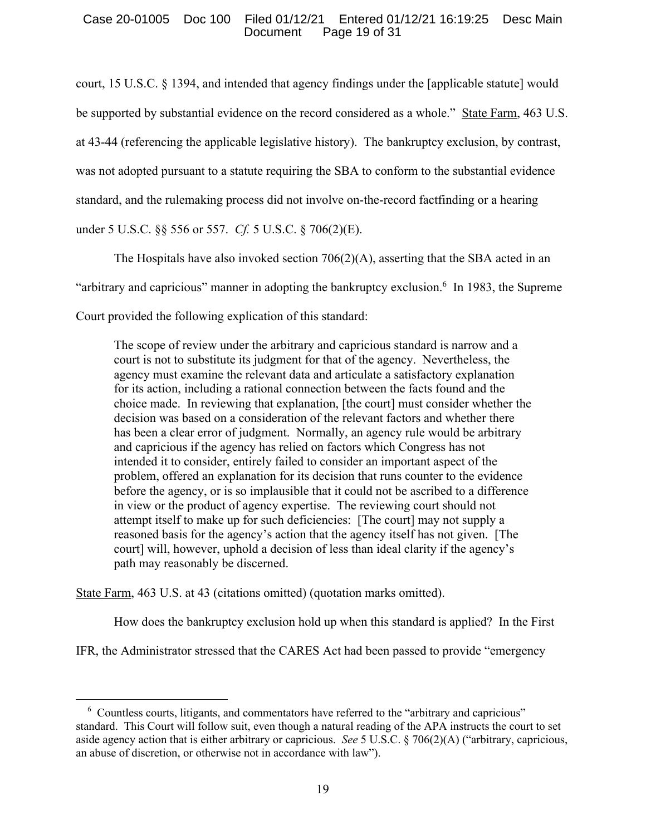# Case 20-01005 Doc 100 Filed 01/12/21 Entered 01/12/21 16:19:25 Desc Main Page 19 of 31

court, 15 U.S.C. § 1394, and intended that agency findings under the [applicable statute] would be supported by substantial evidence on the record considered as a whole." State Farm, 463 U.S. at 43-44 (referencing the applicable legislative history). The bankruptcy exclusion, by contrast, was not adopted pursuant to a statute requiring the SBA to conform to the substantial evidence standard, and the rulemaking process did not involve on-the-record factfinding or a hearing under 5 U.S.C. §§ 556 or 557. *Cf.* 5 U.S.C. § 706(2)(E).

The Hospitals have also invoked section  $706(2)(A)$ , asserting that the SBA acted in an "arbitrary and capricious" manner in adopting the bankruptcy exclusion.6 In 1983, the Supreme Court provided the following explication of this standard:

The scope of review under the arbitrary and capricious standard is narrow and a court is not to substitute its judgment for that of the agency. Nevertheless, the agency must examine the relevant data and articulate a satisfactory explanation for its action, including a rational connection between the facts found and the choice made. In reviewing that explanation, [the court] must consider whether the decision was based on a consideration of the relevant factors and whether there has been a clear error of judgment. Normally, an agency rule would be arbitrary and capricious if the agency has relied on factors which Congress has not intended it to consider, entirely failed to consider an important aspect of the problem, offered an explanation for its decision that runs counter to the evidence before the agency, or is so implausible that it could not be ascribed to a difference in view or the product of agency expertise. The reviewing court should not attempt itself to make up for such deficiencies: [The court] may not supply a reasoned basis for the agency's action that the agency itself has not given. [The court] will, however, uphold a decision of less than ideal clarity if the agency's path may reasonably be discerned.

State Farm, 463 U.S. at 43 (citations omitted) (quotation marks omitted).

How does the bankruptcy exclusion hold up when this standard is applied? In the First

IFR, the Administrator stressed that the CARES Act had been passed to provide "emergency

<sup>&</sup>lt;sup>6</sup> Countless courts, litigants, and commentators have referred to the "arbitrary and capricious" standard. This Court will follow suit, even though a natural reading of the APA instructs the court to set aside agency action that is either arbitrary or capricious. *See* 5 U.S.C. § 706(2)(A) ("arbitrary, capricious, an abuse of discretion, or otherwise not in accordance with law").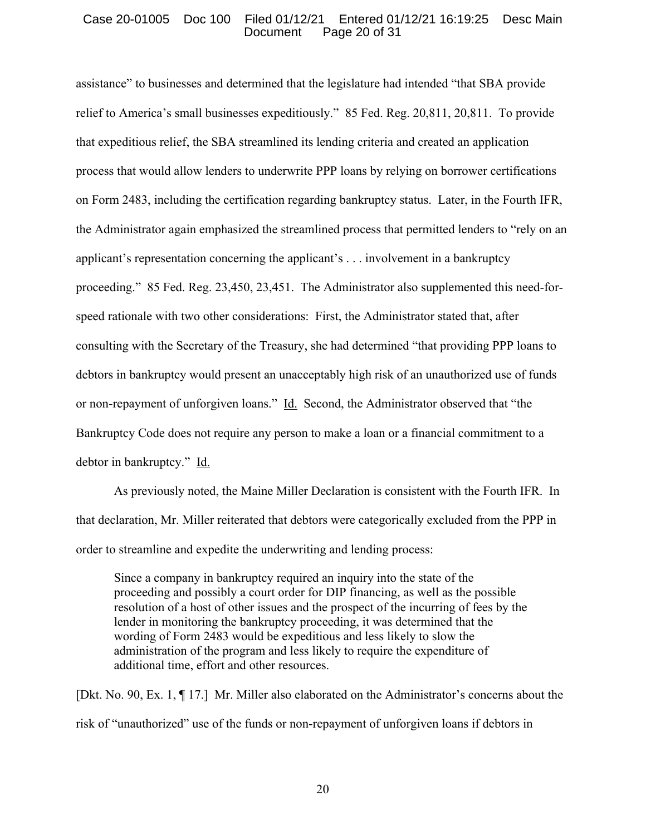#### Case 20-01005 Doc 100 Filed 01/12/21 Entered 01/12/21 16:19:25 Desc Main Document Page 20 of 31

assistance" to businesses and determined that the legislature had intended "that SBA provide relief to America's small businesses expeditiously." 85 Fed. Reg. 20,811, 20,811. To provide that expeditious relief, the SBA streamlined its lending criteria and created an application process that would allow lenders to underwrite PPP loans by relying on borrower certifications on Form 2483, including the certification regarding bankruptcy status. Later, in the Fourth IFR, the Administrator again emphasized the streamlined process that permitted lenders to "rely on an applicant's representation concerning the applicant's . . . involvement in a bankruptcy proceeding." 85 Fed. Reg. 23,450, 23,451. The Administrator also supplemented this need-forspeed rationale with two other considerations: First, the Administrator stated that, after consulting with the Secretary of the Treasury, she had determined "that providing PPP loans to debtors in bankruptcy would present an unacceptably high risk of an unauthorized use of funds or non-repayment of unforgiven loans." Id. Second, the Administrator observed that "the Bankruptcy Code does not require any person to make a loan or a financial commitment to a debtor in bankruptcy." Id.

As previously noted, the Maine Miller Declaration is consistent with the Fourth IFR. In that declaration, Mr. Miller reiterated that debtors were categorically excluded from the PPP in order to streamline and expedite the underwriting and lending process:

Since a company in bankruptcy required an inquiry into the state of the proceeding and possibly a court order for DIP financing, as well as the possible resolution of a host of other issues and the prospect of the incurring of fees by the lender in monitoring the bankruptcy proceeding, it was determined that the wording of Form 2483 would be expeditious and less likely to slow the administration of the program and less likely to require the expenditure of additional time, effort and other resources.

[Dkt. No. 90, Ex. 1, ¶ 17.] Mr. Miller also elaborated on the Administrator's concerns about the risk of "unauthorized" use of the funds or non-repayment of unforgiven loans if debtors in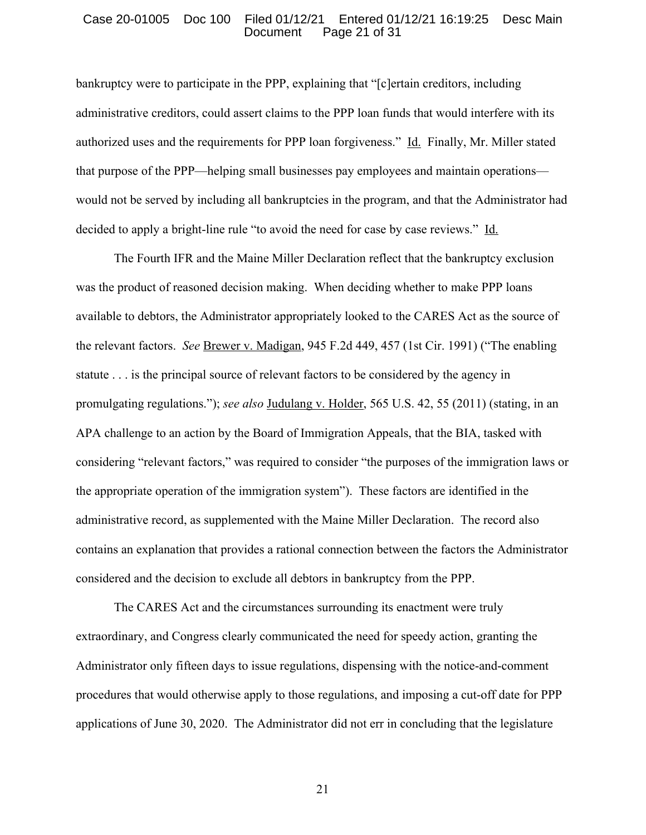#### Case 20-01005 Doc 100 Filed 01/12/21 Entered 01/12/21 16:19:25 Desc Main Document Page 21 of 31

bankruptcy were to participate in the PPP, explaining that "[c]ertain creditors, including administrative creditors, could assert claims to the PPP loan funds that would interfere with its authorized uses and the requirements for PPP loan forgiveness." Id. Finally, Mr. Miller stated that purpose of the PPP—helping small businesses pay employees and maintain operations would not be served by including all bankruptcies in the program, and that the Administrator had decided to apply a bright-line rule "to avoid the need for case by case reviews." Id.

The Fourth IFR and the Maine Miller Declaration reflect that the bankruptcy exclusion was the product of reasoned decision making. When deciding whether to make PPP loans available to debtors, the Administrator appropriately looked to the CARES Act as the source of the relevant factors. *See* Brewer v. Madigan, 945 F.2d 449, 457 (1st Cir. 1991) ("The enabling statute . . . is the principal source of relevant factors to be considered by the agency in promulgating regulations."); *see also* Judulang v. Holder, 565 U.S. 42, 55 (2011) (stating, in an APA challenge to an action by the Board of Immigration Appeals, that the BIA, tasked with considering "relevant factors," was required to consider "the purposes of the immigration laws or the appropriate operation of the immigration system"). These factors are identified in the administrative record, as supplemented with the Maine Miller Declaration. The record also contains an explanation that provides a rational connection between the factors the Administrator considered and the decision to exclude all debtors in bankruptcy from the PPP.

The CARES Act and the circumstances surrounding its enactment were truly extraordinary, and Congress clearly communicated the need for speedy action, granting the Administrator only fifteen days to issue regulations, dispensing with the notice-and-comment procedures that would otherwise apply to those regulations, and imposing a cut-off date for PPP applications of June 30, 2020. The Administrator did not err in concluding that the legislature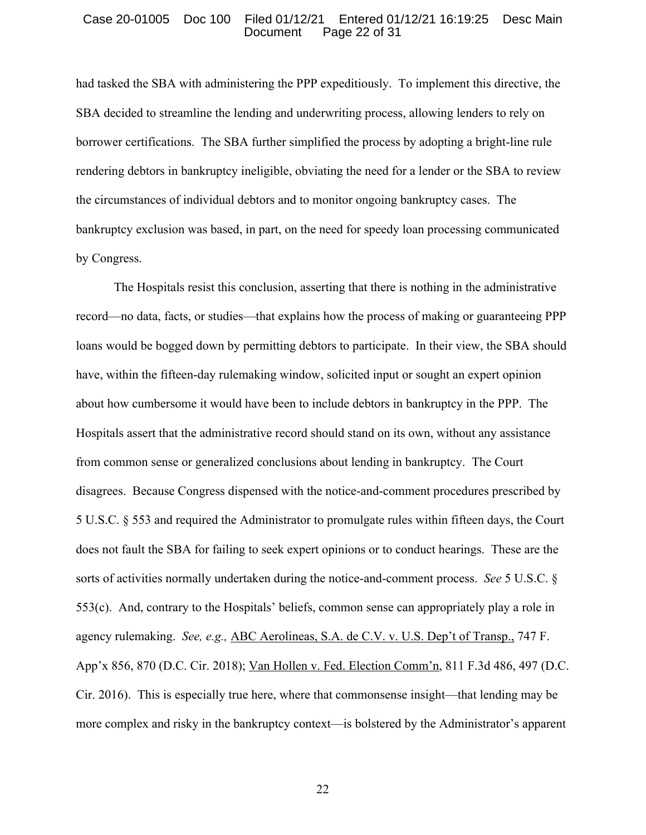#### Case 20-01005 Doc 100 Filed 01/12/21 Entered 01/12/21 16:19:25 Desc Main Document Page 22 of 31

had tasked the SBA with administering the PPP expeditiously. To implement this directive, the SBA decided to streamline the lending and underwriting process, allowing lenders to rely on borrower certifications. The SBA further simplified the process by adopting a bright-line rule rendering debtors in bankruptcy ineligible, obviating the need for a lender or the SBA to review the circumstances of individual debtors and to monitor ongoing bankruptcy cases. The bankruptcy exclusion was based, in part, on the need for speedy loan processing communicated by Congress.

The Hospitals resist this conclusion, asserting that there is nothing in the administrative record—no data, facts, or studies—that explains how the process of making or guaranteeing PPP loans would be bogged down by permitting debtors to participate. In their view, the SBA should have, within the fifteen-day rulemaking window, solicited input or sought an expert opinion about how cumbersome it would have been to include debtors in bankruptcy in the PPP. The Hospitals assert that the administrative record should stand on its own, without any assistance from common sense or generalized conclusions about lending in bankruptcy. The Court disagrees. Because Congress dispensed with the notice-and-comment procedures prescribed by 5 U.S.C. § 553 and required the Administrator to promulgate rules within fifteen days, the Court does not fault the SBA for failing to seek expert opinions or to conduct hearings. These are the sorts of activities normally undertaken during the notice-and-comment process. *See* 5 U.S.C. § 553(c). And, contrary to the Hospitals' beliefs, common sense can appropriately play a role in agency rulemaking. *See, e.g.,* ABC Aerolineas, S.A. de C.V. v. U.S. Dep't of Transp., 747 F. App'x 856, 870 (D.C. Cir. 2018); Van Hollen v. Fed. Election Comm'n, 811 F.3d 486, 497 (D.C. Cir. 2016). This is especially true here, where that commonsense insight—that lending may be more complex and risky in the bankruptcy context—is bolstered by the Administrator's apparent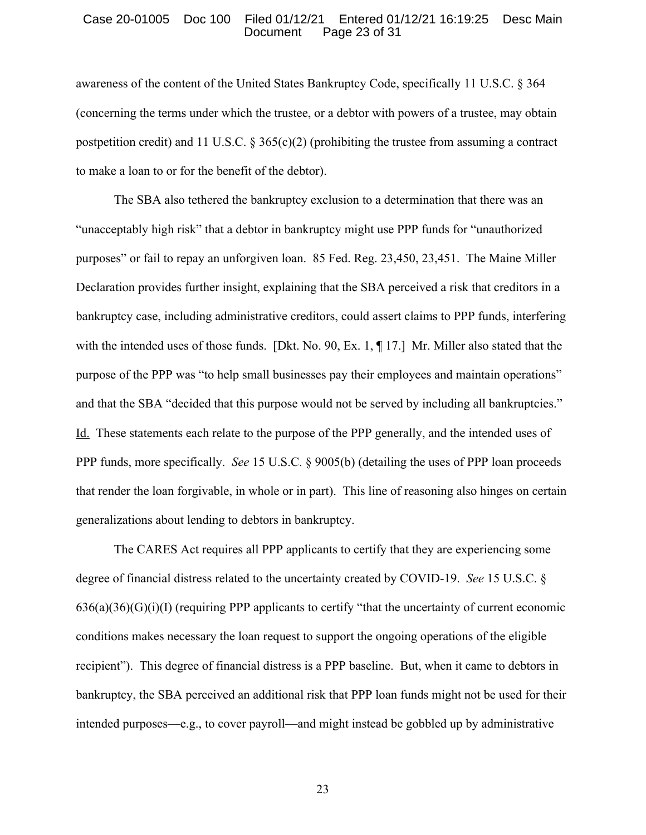## Case 20-01005 Doc 100 Filed 01/12/21 Entered 01/12/21 16:19:25 Desc Main Document Page 23 of 31

awareness of the content of the United States Bankruptcy Code, specifically 11 U.S.C. § 364 (concerning the terms under which the trustee, or a debtor with powers of a trustee, may obtain postpetition credit) and 11 U.S.C.  $\S 365(c)(2)$  (prohibiting the trustee from assuming a contract to make a loan to or for the benefit of the debtor).

The SBA also tethered the bankruptcy exclusion to a determination that there was an "unacceptably high risk" that a debtor in bankruptcy might use PPP funds for "unauthorized purposes" or fail to repay an unforgiven loan. 85 Fed. Reg. 23,450, 23,451. The Maine Miller Declaration provides further insight, explaining that the SBA perceived a risk that creditors in a bankruptcy case, including administrative creditors, could assert claims to PPP funds, interfering with the intended uses of those funds. [Dkt. No. 90, Ex. 1, ¶ 17.] Mr. Miller also stated that the purpose of the PPP was "to help small businesses pay their employees and maintain operations" and that the SBA "decided that this purpose would not be served by including all bankruptcies." Id. These statements each relate to the purpose of the PPP generally, and the intended uses of PPP funds, more specifically. *See* 15 U.S.C. § 9005(b) (detailing the uses of PPP loan proceeds that render the loan forgivable, in whole or in part). This line of reasoning also hinges on certain generalizations about lending to debtors in bankruptcy.

The CARES Act requires all PPP applicants to certify that they are experiencing some degree of financial distress related to the uncertainty created by COVID-19. *See* 15 U.S.C. §  $636(a)(36)(G)(i)(I)$  (requiring PPP applicants to certify "that the uncertainty of current economic conditions makes necessary the loan request to support the ongoing operations of the eligible recipient"). This degree of financial distress is a PPP baseline. But, when it came to debtors in bankruptcy, the SBA perceived an additional risk that PPP loan funds might not be used for their intended purposes—e.g., to cover payroll—and might instead be gobbled up by administrative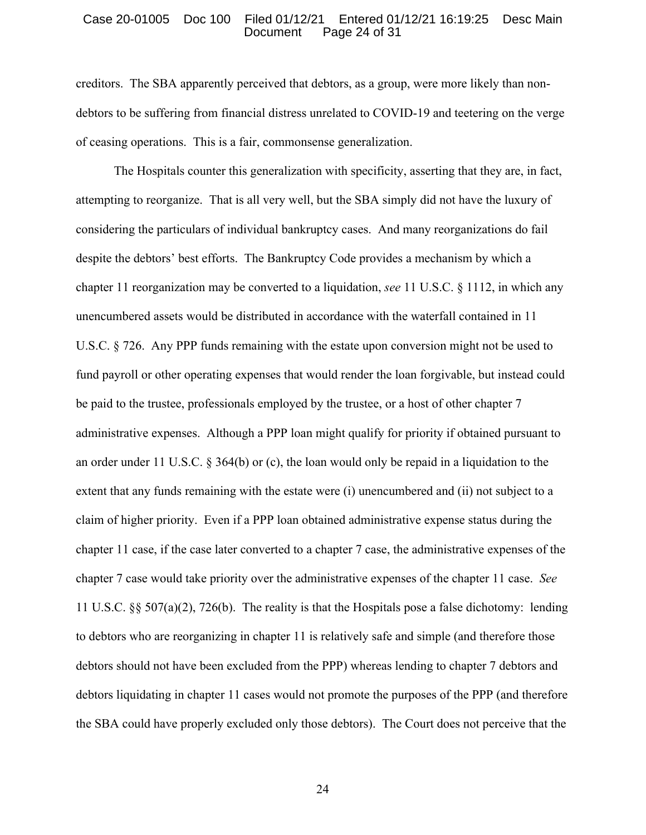### Case 20-01005 Doc 100 Filed 01/12/21 Entered 01/12/21 16:19:25 Desc Main Document Page 24 of 31

creditors. The SBA apparently perceived that debtors, as a group, were more likely than nondebtors to be suffering from financial distress unrelated to COVID-19 and teetering on the verge of ceasing operations. This is a fair, commonsense generalization.

The Hospitals counter this generalization with specificity, asserting that they are, in fact, attempting to reorganize. That is all very well, but the SBA simply did not have the luxury of considering the particulars of individual bankruptcy cases. And many reorganizations do fail despite the debtors' best efforts. The Bankruptcy Code provides a mechanism by which a chapter 11 reorganization may be converted to a liquidation, *see* 11 U.S.C. § 1112, in which any unencumbered assets would be distributed in accordance with the waterfall contained in 11 U.S.C. § 726. Any PPP funds remaining with the estate upon conversion might not be used to fund payroll or other operating expenses that would render the loan forgivable, but instead could be paid to the trustee, professionals employed by the trustee, or a host of other chapter 7 administrative expenses. Although a PPP loan might qualify for priority if obtained pursuant to an order under 11 U.S.C. § 364(b) or (c), the loan would only be repaid in a liquidation to the extent that any funds remaining with the estate were (i) unencumbered and (ii) not subject to a claim of higher priority. Even if a PPP loan obtained administrative expense status during the chapter 11 case, if the case later converted to a chapter 7 case, the administrative expenses of the chapter 7 case would take priority over the administrative expenses of the chapter 11 case. *See* 11 U.S.C. §§ 507(a)(2), 726(b). The reality is that the Hospitals pose a false dichotomy: lending to debtors who are reorganizing in chapter 11 is relatively safe and simple (and therefore those debtors should not have been excluded from the PPP) whereas lending to chapter 7 debtors and debtors liquidating in chapter 11 cases would not promote the purposes of the PPP (and therefore the SBA could have properly excluded only those debtors). The Court does not perceive that the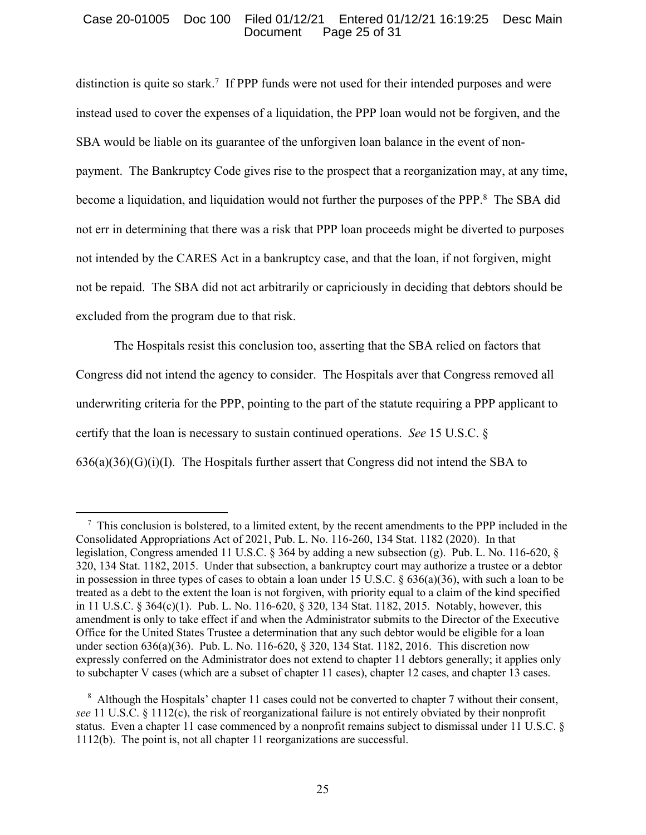## Case 20-01005 Doc 100 Filed 01/12/21 Entered 01/12/21 16:19:25 Desc Main Document Page 25 of 31

distinction is quite so stark.<sup>7</sup> If PPP funds were not used for their intended purposes and were instead used to cover the expenses of a liquidation, the PPP loan would not be forgiven, and the SBA would be liable on its guarantee of the unforgiven loan balance in the event of nonpayment. The Bankruptcy Code gives rise to the prospect that a reorganization may, at any time, become a liquidation, and liquidation would not further the purposes of the PPP.<sup>8</sup> The SBA did not err in determining that there was a risk that PPP loan proceeds might be diverted to purposes not intended by the CARES Act in a bankruptcy case, and that the loan, if not forgiven, might not be repaid. The SBA did not act arbitrarily or capriciously in deciding that debtors should be excluded from the program due to that risk.

The Hospitals resist this conclusion too, asserting that the SBA relied on factors that Congress did not intend the agency to consider. The Hospitals aver that Congress removed all underwriting criteria for the PPP, pointing to the part of the statute requiring a PPP applicant to certify that the loan is necessary to sustain continued operations. *See* 15 U.S.C. §  $636(a)(36)(G)(i)(I)$ . The Hospitals further assert that Congress did not intend the SBA to

<sup>&</sup>lt;sup>7</sup> This conclusion is bolstered, to a limited extent, by the recent amendments to the PPP included in the Consolidated Appropriations Act of 2021, Pub. L. No. 116-260, 134 Stat. 1182 (2020). In that legislation, Congress amended 11 U.S.C. § 364 by adding a new subsection (g). Pub. L. No. 116-620, § 320, 134 Stat. 1182, 2015. Under that subsection, a bankruptcy court may authorize a trustee or a debtor in possession in three types of cases to obtain a loan under 15 U.S.C. § 636(a)(36), with such a loan to be treated as a debt to the extent the loan is not forgiven, with priority equal to a claim of the kind specified in 11 U.S.C. § 364(c)(1). Pub. L. No. 116-620, § 320, 134 Stat. 1182, 2015. Notably, however, this amendment is only to take effect if and when the Administrator submits to the Director of the Executive Office for the United States Trustee a determination that any such debtor would be eligible for a loan under section 636(a)(36). Pub. L. No. 116-620, § 320, 134 Stat. 1182, 2016. This discretion now expressly conferred on the Administrator does not extend to chapter 11 debtors generally; it applies only to subchapter V cases (which are a subset of chapter 11 cases), chapter 12 cases, and chapter 13 cases.

<sup>&</sup>lt;sup>8</sup> Although the Hospitals' chapter 11 cases could not be converted to chapter 7 without their consent, *see* 11 U.S.C. § 1112(c), the risk of reorganizational failure is not entirely obviated by their nonprofit status. Even a chapter 11 case commenced by a nonprofit remains subject to dismissal under 11 U.S.C. § 1112(b). The point is, not all chapter 11 reorganizations are successful.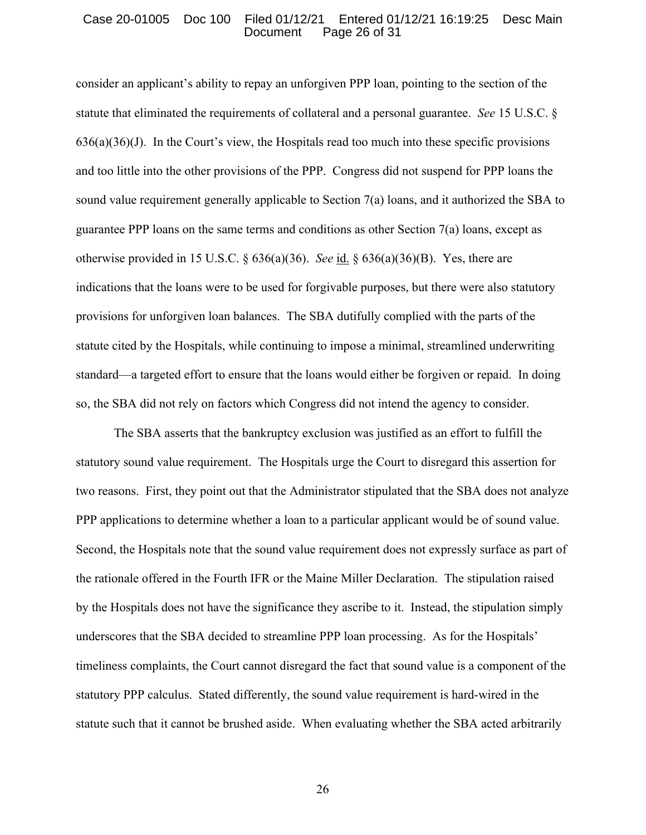## Case 20-01005 Doc 100 Filed 01/12/21 Entered 01/12/21 16:19:25 Desc Main Document Page 26 of 31

consider an applicant's ability to repay an unforgiven PPP loan, pointing to the section of the statute that eliminated the requirements of collateral and a personal guarantee. *See* 15 U.S.C. §  $636(a)(36)(J)$ . In the Court's view, the Hospitals read too much into these specific provisions and too little into the other provisions of the PPP. Congress did not suspend for PPP loans the sound value requirement generally applicable to Section 7(a) loans, and it authorized the SBA to guarantee PPP loans on the same terms and conditions as other Section 7(a) loans, except as otherwise provided in 15 U.S.C. § 636(a)(36). *See* id. § 636(a)(36)(B). Yes, there are indications that the loans were to be used for forgivable purposes, but there were also statutory provisions for unforgiven loan balances. The SBA dutifully complied with the parts of the statute cited by the Hospitals, while continuing to impose a minimal, streamlined underwriting standard—a targeted effort to ensure that the loans would either be forgiven or repaid. In doing so, the SBA did not rely on factors which Congress did not intend the agency to consider.

The SBA asserts that the bankruptcy exclusion was justified as an effort to fulfill the statutory sound value requirement. The Hospitals urge the Court to disregard this assertion for two reasons. First, they point out that the Administrator stipulated that the SBA does not analyze PPP applications to determine whether a loan to a particular applicant would be of sound value. Second, the Hospitals note that the sound value requirement does not expressly surface as part of the rationale offered in the Fourth IFR or the Maine Miller Declaration. The stipulation raised by the Hospitals does not have the significance they ascribe to it. Instead, the stipulation simply underscores that the SBA decided to streamline PPP loan processing. As for the Hospitals' timeliness complaints, the Court cannot disregard the fact that sound value is a component of the statutory PPP calculus. Stated differently, the sound value requirement is hard-wired in the statute such that it cannot be brushed aside. When evaluating whether the SBA acted arbitrarily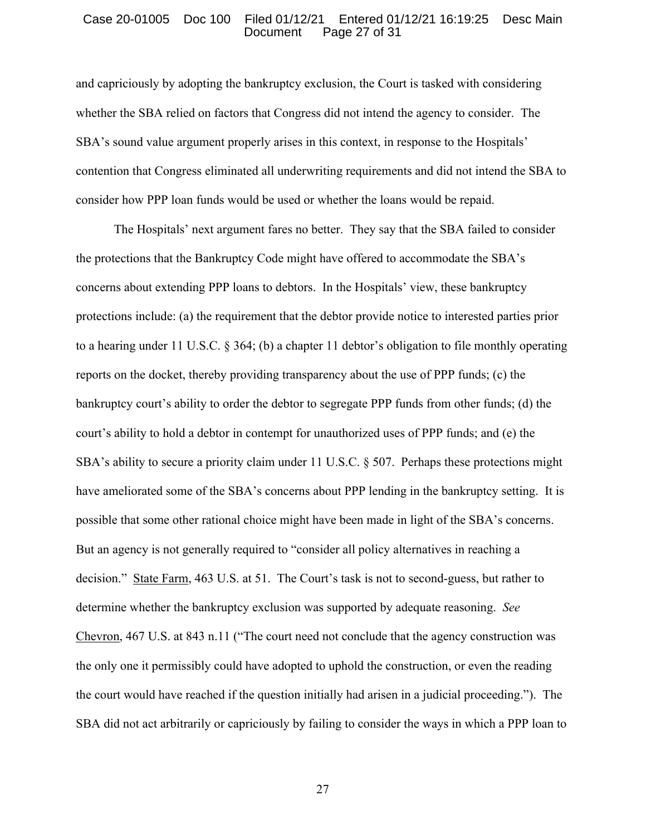## Case 20-01005 Doc 100 Filed 01/12/21 Entered 01/12/21 16:19:25 Desc Main Document Page 27 of 31

and capriciously by adopting the bankruptcy exclusion, the Court is tasked with considering whether the SBA relied on factors that Congress did not intend the agency to consider. The SBA's sound value argument properly arises in this context, in response to the Hospitals' contention that Congress eliminated all underwriting requirements and did not intend the SBA to consider how PPP loan funds would be used or whether the loans would be repaid.

The Hospitals' next argument fares no better. They say that the SBA failed to consider the protections that the Bankruptcy Code might have offered to accommodate the SBA's concerns about extending PPP loans to debtors. In the Hospitals' view, these bankruptcy protections include: (a) the requirement that the debtor provide notice to interested parties prior to a hearing under 11 U.S.C. § 364; (b) a chapter 11 debtor's obligation to file monthly operating reports on the docket, thereby providing transparency about the use of PPP funds; (c) the bankruptcy court's ability to order the debtor to segregate PPP funds from other funds; (d) the court's ability to hold a debtor in contempt for unauthorized uses of PPP funds; and (e) the SBA's ability to secure a priority claim under 11 U.S.C.  $\S$  507. Perhaps these protections might have ameliorated some of the SBA's concerns about PPP lending in the bankruptcy setting. It is possible that some other rational choice might have been made in light of the SBA's concerns. But an agency is not generally required to "consider all policy alternatives in reaching a decision." State Farm, 463 U.S. at 51. The Court's task is not to second-guess, but rather to determine whether the bankruptcy exclusion was supported by adequate reasoning. *See*  Chevron, 467 U.S. at 843 n.11 ("The court need not conclude that the agency construction was the only one it permissibly could have adopted to uphold the construction, or even the reading the court would have reached if the question initially had arisen in a judicial proceeding."). The SBA did not act arbitrarily or capriciously by failing to consider the ways in which a PPP loan to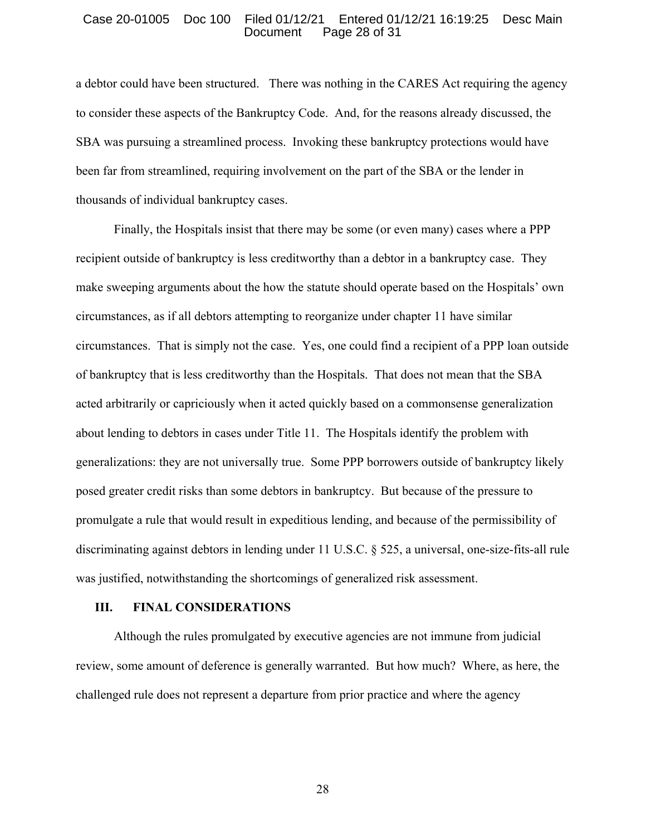#### Case 20-01005 Doc 100 Filed 01/12/21 Entered 01/12/21 16:19:25 Desc Main Document Page 28 of 31

a debtor could have been structured. There was nothing in the CARES Act requiring the agency to consider these aspects of the Bankruptcy Code. And, for the reasons already discussed, the SBA was pursuing a streamlined process. Invoking these bankruptcy protections would have been far from streamlined, requiring involvement on the part of the SBA or the lender in thousands of individual bankruptcy cases.

Finally, the Hospitals insist that there may be some (or even many) cases where a PPP recipient outside of bankruptcy is less creditworthy than a debtor in a bankruptcy case. They make sweeping arguments about the how the statute should operate based on the Hospitals' own circumstances, as if all debtors attempting to reorganize under chapter 11 have similar circumstances. That is simply not the case. Yes, one could find a recipient of a PPP loan outside of bankruptcy that is less creditworthy than the Hospitals. That does not mean that the SBA acted arbitrarily or capriciously when it acted quickly based on a commonsense generalization about lending to debtors in cases under Title 11. The Hospitals identify the problem with generalizations: they are not universally true. Some PPP borrowers outside of bankruptcy likely posed greater credit risks than some debtors in bankruptcy. But because of the pressure to promulgate a rule that would result in expeditious lending, and because of the permissibility of discriminating against debtors in lending under 11 U.S.C. § 525, a universal, one-size-fits-all rule was justified, notwithstanding the shortcomings of generalized risk assessment.

#### **III. FINAL CONSIDERATIONS**

Although the rules promulgated by executive agencies are not immune from judicial review, some amount of deference is generally warranted. But how much? Where, as here, the challenged rule does not represent a departure from prior practice and where the agency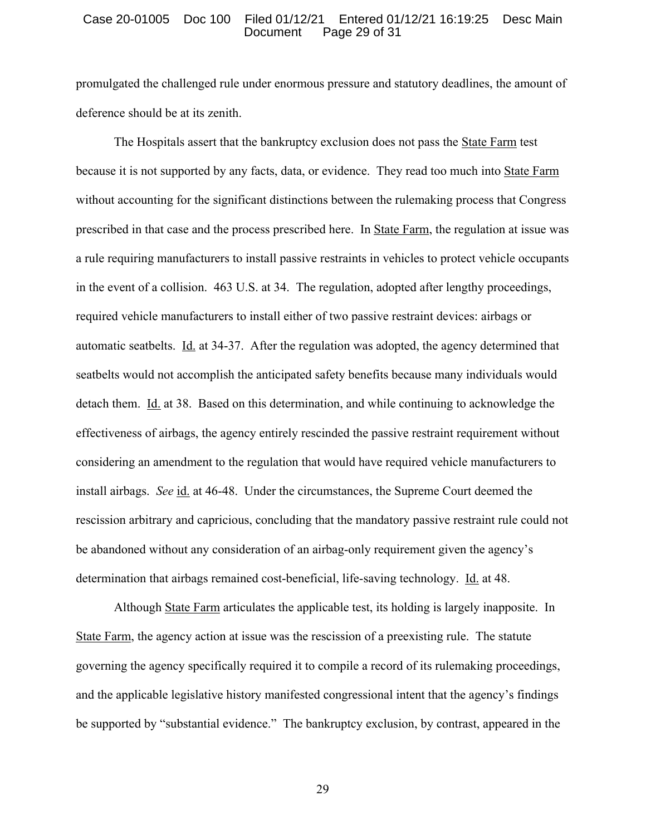#### Case 20-01005 Doc 100 Filed 01/12/21 Entered 01/12/21 16:19:25 Desc Main Document Page 29 of 31

promulgated the challenged rule under enormous pressure and statutory deadlines, the amount of deference should be at its zenith.

The Hospitals assert that the bankruptcy exclusion does not pass the State Farm test because it is not supported by any facts, data, or evidence. They read too much into State Farm without accounting for the significant distinctions between the rulemaking process that Congress prescribed in that case and the process prescribed here. In State Farm, the regulation at issue was a rule requiring manufacturers to install passive restraints in vehicles to protect vehicle occupants in the event of a collision. 463 U.S. at 34. The regulation, adopted after lengthy proceedings, required vehicle manufacturers to install either of two passive restraint devices: airbags or automatic seatbelts. Id. at 34-37. After the regulation was adopted, the agency determined that seatbelts would not accomplish the anticipated safety benefits because many individuals would detach them. Id. at 38. Based on this determination, and while continuing to acknowledge the effectiveness of airbags, the agency entirely rescinded the passive restraint requirement without considering an amendment to the regulation that would have required vehicle manufacturers to install airbags. *See* id. at 46-48. Under the circumstances, the Supreme Court deemed the rescission arbitrary and capricious, concluding that the mandatory passive restraint rule could not be abandoned without any consideration of an airbag-only requirement given the agency's determination that airbags remained cost-beneficial, life-saving technology. Id. at 48.

Although State Farm articulates the applicable test, its holding is largely inapposite. In State Farm, the agency action at issue was the rescission of a preexisting rule. The statute governing the agency specifically required it to compile a record of its rulemaking proceedings, and the applicable legislative history manifested congressional intent that the agency's findings be supported by "substantial evidence." The bankruptcy exclusion, by contrast, appeared in the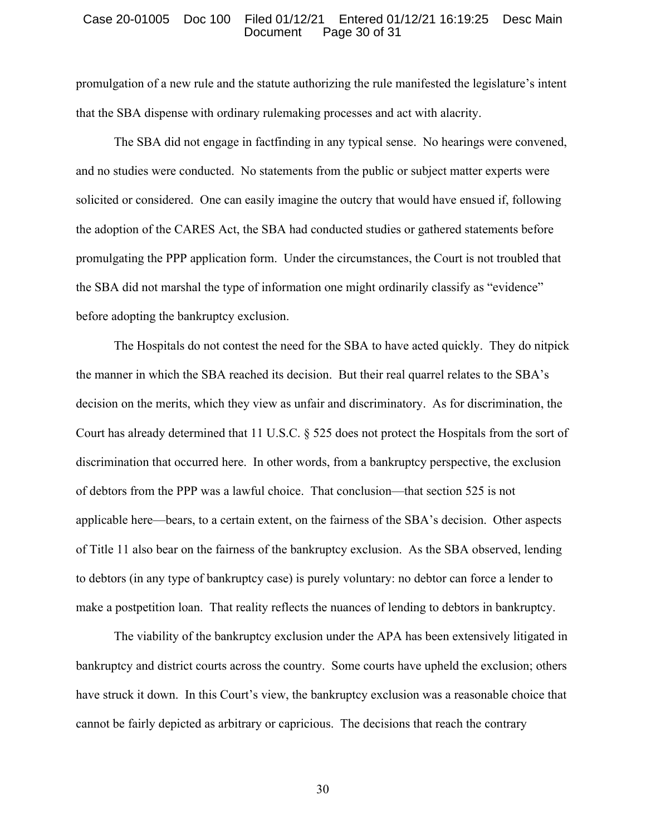#### Case 20-01005 Doc 100 Filed 01/12/21 Entered 01/12/21 16:19:25 Desc Main Document Page 30 of 31

promulgation of a new rule and the statute authorizing the rule manifested the legislature's intent that the SBA dispense with ordinary rulemaking processes and act with alacrity.

The SBA did not engage in factfinding in any typical sense. No hearings were convened, and no studies were conducted. No statements from the public or subject matter experts were solicited or considered. One can easily imagine the outcry that would have ensued if, following the adoption of the CARES Act, the SBA had conducted studies or gathered statements before promulgating the PPP application form. Under the circumstances, the Court is not troubled that the SBA did not marshal the type of information one might ordinarily classify as "evidence" before adopting the bankruptcy exclusion.

The Hospitals do not contest the need for the SBA to have acted quickly. They do nitpick the manner in which the SBA reached its decision. But their real quarrel relates to the SBA's decision on the merits, which they view as unfair and discriminatory. As for discrimination, the Court has already determined that 11 U.S.C. § 525 does not protect the Hospitals from the sort of discrimination that occurred here. In other words, from a bankruptcy perspective, the exclusion of debtors from the PPP was a lawful choice. That conclusion—that section 525 is not applicable here—bears, to a certain extent, on the fairness of the SBA's decision. Other aspects of Title 11 also bear on the fairness of the bankruptcy exclusion. As the SBA observed, lending to debtors (in any type of bankruptcy case) is purely voluntary: no debtor can force a lender to make a postpetition loan. That reality reflects the nuances of lending to debtors in bankruptcy.

The viability of the bankruptcy exclusion under the APA has been extensively litigated in bankruptcy and district courts across the country. Some courts have upheld the exclusion; others have struck it down. In this Court's view, the bankruptcy exclusion was a reasonable choice that cannot be fairly depicted as arbitrary or capricious. The decisions that reach the contrary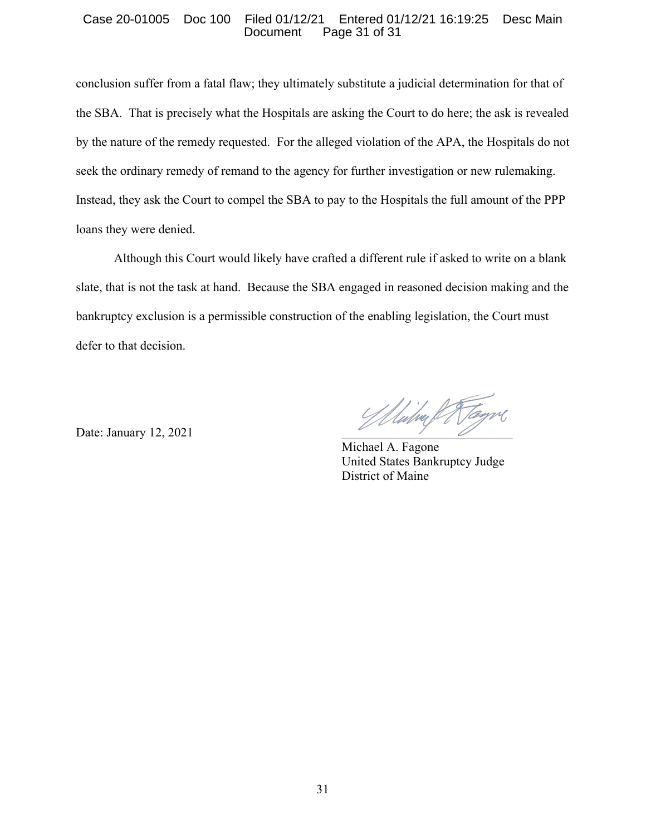## Case 20-01005 Doc 100 Filed 01/12/21 Entered 01/12/21 16:19:25 Desc Main Page 31 of 31

conclusion suffer from a fatal flaw; they ultimately substitute a judicial determination for that of the SBA. That is precisely what the Hospitals are asking the Court to do here; the ask is revealed by the nature of the remedy requested. For the alleged violation of the APA, the Hospitals do not seek the ordinary remedy of remand to the agency for further investigation or new rulemaking. Instead, they ask the Court to compel the SBA to pay to the Hospitals the full amount of the PPP loans they were denied.

Although this Court would likely have crafted a different rule if asked to write on a blank slate, that is not the task at hand. Because the SBA engaged in reasoned decision making and the bankruptcy exclusion is a permissible construction of the enabling legislation, the Court must defer to that decision.

Date: January 12, 2021

 Michael A. Fagone United States Bankruptcy Judge District of Maine